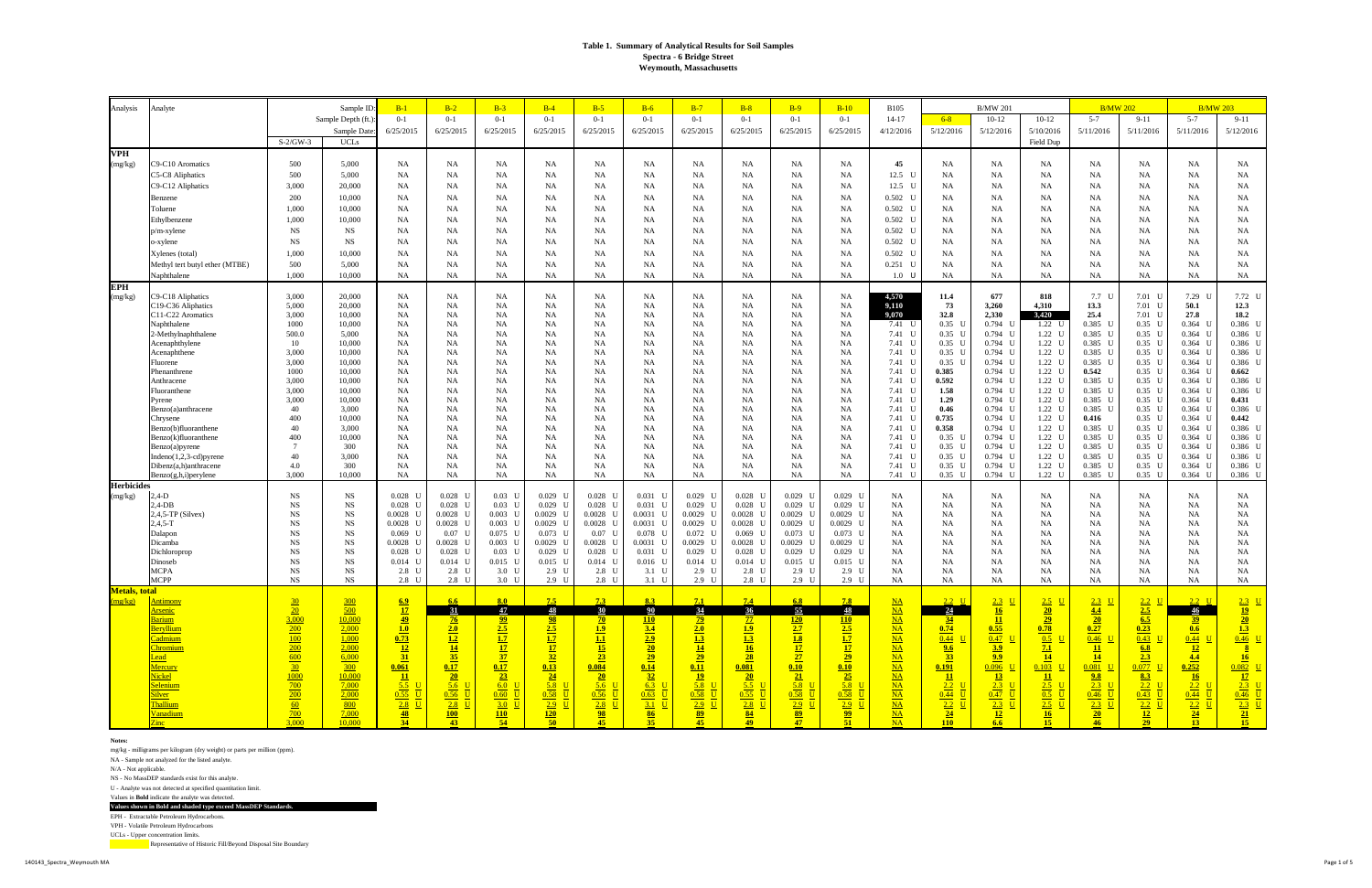UCLs - Upper concentration limits. Representative of Historic Fill/Beyond Disposal Site Boundary

| Analysis              | Analyte                                           |                          | Sample ID              | $B-1$               | $B-2$                      | $B-3$                                                                | $B-4$                            | $B-5$                         | $B-6$                   | $B-7$                         | $B-8$                          | $B-9$                               | $B-10$                           | <b>B105</b>                   |                                  | <b>B/MW 201</b>                                          |                                                                                          | <b>B/MW 202</b>                   |                                 |                        | <b>B/MW 203</b>                 |
|-----------------------|---------------------------------------------------|--------------------------|------------------------|---------------------|----------------------------|----------------------------------------------------------------------|----------------------------------|-------------------------------|-------------------------|-------------------------------|--------------------------------|-------------------------------------|----------------------------------|-------------------------------|----------------------------------|----------------------------------------------------------|------------------------------------------------------------------------------------------|-----------------------------------|---------------------------------|------------------------|---------------------------------|
|                       |                                                   |                          | Sample Depth (ft.)     | $0 - 1$             | $0 - 1$                    | $0 - 1$                                                              | $0 - 1$                          | $0 - 1$                       | $0 - 1$                 | $0 - 1$                       | $0 - 1$                        | $0 - 1$                             | $0 - 1$                          | $14 - 17$                     | $6 - 8$                          | $10 - 12$                                                | $10-12$                                                                                  | $5 - 7$                           | $9 - 11$                        | $5 - 7$                | $9 - 11$                        |
|                       |                                                   |                          | Sample Date            | 6/25/2015           | 6/25/2015                  | 6/25/2015                                                            | 6/25/2015                        | 6/25/2015                     | 6/25/2015               | 6/25/2015                     | 6/25/2015                      | 6/25/2015                           | 6/25/2015                        | 4/12/2016                     | 5/12/2016                        | 5/12/2016                                                | 5/10/2016                                                                                | 5/11/2016                         | 5/11/2016                       | 5/11/2016              | 5/12/2016                       |
|                       |                                                   | $S-2/GW-3$               | <b>UCLs</b>            |                     |                            |                                                                      |                                  |                               |                         |                               |                                |                                     |                                  |                               |                                  |                                                          | Field Dup                                                                                |                                   |                                 |                        |                                 |
| <b>VPH</b>            | C9-C10 Aromatics                                  |                          | 5,000                  | NA                  |                            |                                                                      |                                  |                               | <b>NA</b>               |                               |                                |                                     |                                  | 45                            |                                  |                                                          |                                                                                          |                                   |                                 |                        |                                 |
| (mg/kg)               | C5-C8 Aliphatics                                  | 500<br>500               | 5,000                  | NA                  | NA<br>NA                   | <b>NA</b><br><b>NA</b>                                               | <b>NA</b><br>NA                  | NA<br>NA                      | <b>NA</b>               | NA<br><b>NA</b>               | NA<br><b>NA</b>                | NA<br><b>NA</b>                     | <b>NA</b><br><b>NA</b>           | 12.5 U                        | NA<br>NA                         | NA<br><b>NA</b>                                          | NA<br><b>NA</b>                                                                          | NA<br>NA                          | NA<br><b>NA</b>                 | NA<br>NA               | NA<br>NA                        |
|                       | C9-C12 Aliphatics                                 | 3,000                    | 20,000                 | NA                  | NA                         | <b>NA</b>                                                            | NA                               | NA                            | <b>NA</b>               | NA                            | NA                             | <b>NA</b>                           | <b>NA</b>                        | 12.5 U                        | NA                               | NA                                                       | <b>NA</b>                                                                                | NA                                | NA                              | NA                     | NA                              |
|                       | Benzene                                           | 200                      | 10,000                 | NA                  | NA                         | <b>NA</b>                                                            | <b>NA</b>                        | NA                            | NA                      | <b>NA</b>                     | NA                             | <b>NA</b>                           | <b>NA</b>                        | $0.502$ U                     | NA                               | NA                                                       | <b>NA</b>                                                                                | <b>NA</b>                         | NA                              | NA                     | NA                              |
|                       | Toluene                                           | 1,000                    | 10,000                 | NA                  | NA                         | NA                                                                   | <b>NA</b>                        | NA                            | NA                      | NA                            | <b>NA</b>                      | <b>NA</b>                           | NA                               | $0.502$ U                     | NA                               | NA                                                       | <b>NA</b>                                                                                | NA                                | NA                              | NA                     | NA                              |
|                       | Ethylbenzene                                      | 1,000                    | 10,000                 | NA                  | NA                         | <b>NA</b>                                                            | NA                               | NA.                           | <b>NA</b>               | <b>NA</b>                     | <b>NA</b>                      | NA                                  | <b>NA</b>                        | $0.502$ U                     | NA                               | NA                                                       | <b>NA</b>                                                                                | <b>NA</b>                         | <b>NA</b>                       | NA                     | NA                              |
|                       | $p/m$ -xylene                                     | NS                       | NS                     | NA                  | NA                         | <b>NA</b>                                                            | <b>NA</b>                        | NA.                           | NA                      | NA                            | <b>NA</b>                      | <b>NA</b>                           | <b>NA</b>                        | $0.502$ U                     | NA                               | NA                                                       | <b>NA</b>                                                                                | <b>NA</b>                         | NA                              | NA                     | NA                              |
|                       | o-xylene                                          | <b>NS</b>                | NS                     | NA                  | NA                         | NA                                                                   | <b>NA</b>                        | NA                            | NA                      | <b>NA</b>                     | NA                             | <b>NA</b>                           | <b>NA</b>                        | $0.502$ U                     | <b>NA</b>                        | NA                                                       | <b>NA</b>                                                                                | NA                                | <b>NA</b>                       | NA                     | NA                              |
|                       | Xylenes (total)                                   | 1,000                    | 10,000                 | NA                  | NA                         | <b>NA</b>                                                            | NA                               | NA                            | <b>NA</b>               | NA                            | <b>NA</b>                      | NA                                  | <b>NA</b>                        | $0.502$ U                     | NA                               | NA                                                       | <b>NA</b>                                                                                | <b>NA</b>                         | <b>NA</b>                       | NA                     | NA                              |
|                       | Methyl tert butyl ether (MTBE)                    | 500                      | 5,000                  | NA                  | NA                         | <b>NA</b>                                                            | <b>NA</b>                        | NA                            | NA                      | NA                            | NA                             | <b>NA</b>                           | <b>NA</b>                        | $0.251$ U                     | NA                               | NA                                                       | <b>NA</b>                                                                                | <b>NA</b>                         | NA                              | NA                     | NA                              |
|                       | Naphthalene                                       | 1,000                    | 10,000                 | NA                  | NA                         | NA                                                                   | NA                               | NA                            | <b>NA</b>               | <b>NA</b>                     | NA                             | NA                                  | <b>NA</b>                        | $1.0$ U                       | <b>NA</b>                        | NA                                                       | NA                                                                                       | NA                                | NA                              | NA                     | <b>NA</b>                       |
| <b>EPH</b><br>(mg/kg) | C9-C18 Aliphatics                                 | 3,000                    | 20,000                 | <b>NA</b>           | NA                         | NA                                                                   | NA                               | NA                            | <b>NA</b>               | <b>NA</b>                     | NA                             | <b>NA</b>                           | <b>NA</b>                        | 4,570                         | 11.4                             | 677                                                      | 818                                                                                      | 7.7 U                             | $7.01\;\;{\rm U}$               | 7.29 U                 | 7.72 U                          |
|                       | C19-C36 Aliphatics                                | 5,000                    | 20,000                 | NA                  | NA                         | NA                                                                   | NA                               | NA                            | <b>NA</b>               | <b>NA</b>                     | <b>NA</b>                      | <b>NA</b>                           | <b>NA</b>                        | 9,110                         | 73                               | 3,260                                                    | 4,310                                                                                    | 13.3                              | 7.01                            | 50.1                   | 12.3                            |
|                       | C11-C22 Aromatics                                 | 3,000                    | 10,000                 | NA                  | NA                         | NA                                                                   | <b>NA</b>                        | NA.                           | NA                      | <b>NA</b>                     | <b>NA</b>                      | <b>NA</b>                           | <b>NA</b>                        | 9,070                         | 32.8                             | 2,330                                                    | 3,420                                                                                    | 25.4                              | 7.01                            | 27.8                   | 18.2                            |
|                       | Naphthalene<br>2-Methylnaphthalene                | 1000<br>500.0            | 10,000<br>5,000        | NA<br>NA            | NA                         | <b>NA</b><br><b>NA</b>                                               | <b>NA</b><br>NA                  | NA<br>NA                      | NA<br><b>NA</b>         | <b>NA</b><br>NA               | <b>NA</b><br>NA                | <b>NA</b>                           | <b>NA</b><br><b>NA</b>           | 7.41 U<br>7.41 U              | $0.35$ U<br>$0.35$ U             | $0.794$ U<br>$0.794$ U                                   | 1.22 U<br>$1.22 \quad U$                                                                 | $0.385$ U<br>$0.385$ U            | $0.35\quad U$<br>$0.35 \quad U$ | $0.364$ U<br>$0.364$ U | $0.386$ L<br>$0.386$ L          |
|                       | Acenaphthylene                                    | 10                       | 10,000                 | NA                  | NA<br>NA                   | <b>NA</b>                                                            | NA                               | NA                            | <b>NA</b>               | <b>NA</b>                     | <b>NA</b>                      | <b>NA</b><br>NA                     | <b>NA</b>                        | 7.41 U                        | $0.35$ U                         | $0.794$ U                                                | $1.22$ U                                                                                 | $0.385$ U                         | $0.35\quad U$                   | $0.364$ U              | $0.386$ L                       |
|                       | Acenaphthene                                      | 3,000                    | 10,000                 | NA                  | NA                         | NA                                                                   | <b>NA</b>                        | NA                            | NA                      | NA                            | NA                             | <b>NA</b>                           | NA                               | 7.41 U                        | $0.35$ U                         | $0.794$ U                                                | $1.22$ U                                                                                 | $0.385$ U                         | $0.35\quad U$                   | $0.364$ U              | $0.386$ L                       |
|                       | Fluorene                                          | 3,000                    | 10,000                 | NA                  | NA                         | <b>NA</b>                                                            | <b>NA</b>                        | NA.                           | NA                      | NA                            | NA                             | <b>NA</b>                           | NA                               | 7.41 U                        | $0.35$ U                         | $0.794$ U                                                | 1.22 U                                                                                   | $0.385$ U                         | $0.35\quad U$                   | $0.364$ U              | $0.386$ L                       |
|                       | Phenanthrene<br>Anthracene                        | 1000<br>3.000            | 10,000<br>10,000       | NA<br>NA            | NA<br>NA                   | <b>NA</b><br>NA                                                      | NA<br>NA                         | NA<br>NA                      | NA<br><b>NA</b>         | <b>NA</b><br><b>NA</b>        | <b>NA</b><br>NA                | <b>NA</b><br><b>NA</b>              | <b>NA</b><br><b>NA</b>           | 7.41 U<br>7.41 U              | 0.385<br>0.592                   | $0.794$ U<br>$0.794$ U                                   | 1.22 U<br>$1.22$ U                                                                       | 0.542<br>$0.385$ U                | $0.35$ U<br>$0.35\quad U$       | $0.364$ U<br>$0.364$ U | 0.662<br>$0.386$ L              |
|                       | Fluoranthene                                      | 3,000                    | 10,000                 | NA                  | NA                         | <b>NA</b>                                                            | NA                               | NA                            | <b>NA</b>               | <b>NA</b>                     | <b>NA</b>                      | <b>NA</b>                           | <b>NA</b>                        | 7.41 U                        | 1.58                             | $0.794$ U                                                | $1.22$ U                                                                                 | $0.385$ U                         | $0.35\quad U$                   | $0.364$ U              | $0.386$ L                       |
|                       | Pyrene                                            | 3,000                    | 10,000                 | NA                  | NA                         | NA                                                                   | NA                               | NA                            | NA                      | <b>NA</b>                     | <b>NA</b>                      | <b>NA</b>                           | NA                               | 7.41 U                        | 1.29                             | $0.794$ U                                                | $1.22 \quad U$                                                                           | $0.385$ U                         | $0.35\quad U$                   | $0.364$ U              | 0.431                           |
|                       | Benzo(a)anthracene                                | 40                       | 3,000                  | NA                  | NA                         | NA                                                                   | <b>NA</b>                        | NA.                           | NA                      | NA                            | NA                             | <b>NA</b>                           | NA                               | 7.41 U                        | 0.46                             | $0.794$ U                                                | $1.22$ U                                                                                 | $0.385$ U                         | $0.35\quad U$                   | $0.364$ U              | $0.386$ L                       |
|                       | Chrysene<br>Benzo(b)fluoranthene                  | 400<br>40                | 10,000<br>3,000        | NA<br>NA            | NA<br>NA                   | <b>NA</b><br>NA                                                      | <b>NA</b><br>NA                  | NA.<br>NA.                    | NA<br><b>NA</b>         | <b>NA</b><br><b>NA</b>        | <b>NA</b><br>NA                | <b>NA</b><br><b>NA</b>              | <b>NA</b><br><b>NA</b>           | 7.41 U<br>7.41 U              | 0.735<br>0.358                   | $0.794$ U<br>$0.794$ U                                   | $1.22$ U<br>$1.22$ U                                                                     | 0.416<br>$0.385$ U                | $0.35\quad U$<br>$0.35\quad U$  | $0.364$ U<br>$0.364$ U | 0.442<br>$0.386$ L              |
|                       | Benzo(k)fluoranthene                              | 400                      | 10,000                 | NA                  | NA                         | <b>NA</b>                                                            | NA                               | NA.                           | <b>NA</b>               | <b>NA</b>                     | <b>NA</b>                      | <b>NA</b>                           | <b>NA</b>                        | 7.41 U                        | $0.35$ U                         | $0.794$ U                                                | $1.22$ U                                                                                 | $0.385$ U                         | $0.35 \quad U$                  | $0.364$ U              | $0.386$ L                       |
|                       | Benzo(a)pyrene                                    | $7\phantom{.0}$          | 300                    | NA                  | NA                         | NA                                                                   | <b>NA</b>                        | NA                            | NA                      | <b>NA</b>                     | NA                             | <b>NA</b>                           | <b>NA</b>                        | 7.41 U                        | $0.35$ U                         | $0.794$ U                                                | $1.22 \quad U$                                                                           | $0.385$ U                         | $0.35\quad U$                   | $0.364$ U              | $0.386$ U                       |
|                       | $Indeno(1,2,3-cd)pyrene$                          | 40                       | 3,000                  | NA                  | NA                         | NA                                                                   | <b>NA</b>                        | NA.                           | NA                      | NA                            | NA                             | <b>NA</b>                           | NA                               | 7.41 U                        | $0.35$ U                         | $0.794$ U                                                | 1.22 U                                                                                   | $0.385$ U                         | $0.35\quad U$                   | $0.364$ U              | $0.386$ U<br>$0.386$ L          |
|                       | Dibenz(a,h)anthracene<br>$Benzo(g,h,i)$ per ylene | 4.0<br>3.000             | 300<br>10,000          | NA<br><b>NA</b>     | NA<br>NA                   | <b>NA</b><br>NA                                                      | <b>NA</b><br>NA                  | NA<br>NA                      | NA<br><b>NA</b>         | <b>NA</b><br>NA               | <b>NA</b><br>NA                | <b>NA</b><br>NA                     | <b>NA</b><br>NA                  | 7.41 U<br>7.41 U              | $0.35$ U<br>$0.35$ U             | $0.794$ U<br>$0.794$ U                                   | 1.22 U<br>1.22 U                                                                         | $0.385$ U<br>$0.385$ U            | $0.35-1$<br>$0.35$ U            | $0.364$ U<br>$0.364$ U | $0.386$ L                       |
| <b>Herbicides</b>     |                                                   |                          |                        |                     |                            |                                                                      |                                  |                               |                         |                               |                                |                                     |                                  |                               |                                  |                                                          |                                                                                          |                                   |                                 |                        |                                 |
| (mg/kg)               | $2,4-D$                                           | <b>NS</b>                | <b>NS</b>              | $0.028$ U           | $0.028$ L                  | $0.03$ U                                                             | $0.029$ U                        | $0.028$ L                     | $0.031$ U               | $0.029$ U                     | $0.028$ U                      | $0.029$ U                           | $0.029$ U                        | <b>NA</b>                     | NA                               | <b>NA</b>                                                | NA                                                                                       | NA.                               | NA                              | NA                     | NA                              |
|                       | $2,4$ -DB                                         | $_{\rm NS}$<br><b>NS</b> | <b>NS</b>              | 0.028               | $0.028$ U<br>$0.0028$ U    | $0.03$ U<br>$0.003$ U                                                | $0.029$ U<br>$0.0029$ L          | $0.028$ L<br>$0.0028$ L       | $0.031$ U<br>$0.0031$ U | $0.029$ U<br>$0.0029$ U       | $0.028$ U<br>$0.0028$ U        | $0.029$ U<br>$0.0029$ U             | $0.029$ U<br>$0.0029$ U          | <b>NA</b><br>NA               | NA                               | <b>NA</b>                                                | <b>NA</b>                                                                                | <b>NA</b>                         | <b>NA</b>                       | NA<br>NA               | NA                              |
|                       | $2,4,5$ -TP (Silvex)<br>$2,4,5-T$                 | <b>NS</b>                | <b>NS</b><br><b>NS</b> | 0.0028<br>0.0028    | $0.0028$ U                 | $0.003$ U                                                            | $0.0029$ U                       | $0.0028$ L                    | 0.0031                  | $0.0029$ U                    | 0.0028                         | $0.0029$ U                          | $0.0029$ U                       | NA                            | NA<br>NA                         | NA<br><b>NA</b>                                          | <b>NA</b><br>NA                                                                          | NA<br><b>NA</b>                   | NA<br>NA                        | NA                     | NA<br>NA                        |
|                       | Dalapon                                           | $_{\rm NS}$              | <b>NS</b>              | 0.069               | $0.07 \quad U$             | $0.075$ U                                                            | $0.073$ U                        | $0.07 \text{ U}$              | $0.078$ U               | $0.072$ U                     | 0.069                          | $0.073$ U                           | $0.073$ U                        | NA                            | NA                               | NA                                                       | <b>NA</b>                                                                                | <b>NA</b>                         | <b>NA</b>                       | NA                     | NA                              |
|                       | Dicamba                                           | $_{\rm NS}$              | <b>NS</b>              | 0.0028              | $0.0028$ U                 | $0.003$ U                                                            | $0.0029$ L                       | $0.0028$ L                    | $0.0031$ U              | $0.0029$ U                    | 0.0028                         | $0.0029$ U                          | $0.0029$ U                       | NA                            | NA                               | NA                                                       | <b>NA</b>                                                                                | <b>NA</b>                         | NA                              | NA                     | NA                              |
|                       | Dichloroprop<br>Dinoseb                           | $_{\rm NS}$<br><b>NS</b> | <b>NS</b><br><b>NS</b> | 0.028<br>$0.014$ U  | $0.028$ U<br>$0.014$ U     | $0.03$ U<br>$0.015$ U                                                | $0.029$ L<br>$0.015$ U           | $0.028$ L<br>$0.014$ U        | $0.031$ U<br>$0.016$ U  | $0.029$ U<br>$0.014$ U        | $0.028$ U<br>$0.014$ U         | $0.029$ U<br>$0.015$ U              | $0.029$ U<br>$0.015$ U           | NA<br>NA                      | NA<br><b>NA</b>                  | NA<br>NA                                                 | <b>NA</b><br><b>NA</b>                                                                   | <b>NA</b><br>NA                   | NA<br><b>NA</b>                 | NA<br>NA               | NA<br>NA                        |
|                       | <b>MCPA</b>                                       | <b>NS</b>                | <b>NS</b>              | 2.8 <sub>C</sub>    | 2.8 U                      | 3.0                                                                  | 2.9 <sub>l</sub>                 | 2.8 <sub>l</sub>              | 3.1 U                   | 2.9 <sup>U</sup>              | 2.8                            | $2.9$ U                             | $2.9-1$                          | NA                            | NA                               | NA                                                       | NA                                                                                       | <b>NA</b>                         | NA                              | NA                     | NA                              |
|                       | <b>MCPP</b>                                       | <b>NS</b>                | <b>NS</b>              | 2.8 <sub>C</sub>    | 2.8 U                      | 3.0 U                                                                | $2.9-1$                          | 2.8 U                         | 3.1 U                   | $2.9$ U                       | 2.8 U                          | $2.9$ U                             | $2.9$ U                          | NA                            | NA                               | NA                                                       | <b>NA</b>                                                                                | NA                                | NA                              | NA                     | NA                              |
| Metals, total         |                                                   |                          |                        |                     |                            |                                                                      |                                  |                               | 8.3                     |                               |                                |                                     |                                  |                               |                                  |                                                          |                                                                                          |                                   |                                 |                        |                                 |
| <u>(mg/kg)</u>        | <u>Antimony</u><br><b>Arsenic</b>                 | 20                       | 300<br>500             | $\frac{6.9}{17}$    | 6.6<br>$\frac{31}{2}$      | 8.0<br>47                                                            | $\frac{48}{ }$                   | 30                            | 90                      | 34                            | 7.4<br>36                      | 6.8<br>55                           | $\frac{48}{ }$                   | $NA$<br>$NA$                  | $2.2 \quad U$<br>$\overline{24}$ | $2.3$ U<br>$\frac{16}{1}$                                | $2.5$ U<br>$\frac{20}{2}$                                                                | $2.3$ U<br>$\frac{4.4}{ }$        | $2.2 \quad U$<br>2.5            | $2.2 \quad U$<br>46    | $2.3$ U                         |
|                       | Barium                                            | 3,000                    | 10,000                 | $\frac{49}{ }$      | $\frac{76}{ }$             |                                                                      | $\frac{98}{5}$                   | $\sqrt{20}$                   | 110                     | $\frac{79}{ }$                |                                | 120                                 |                                  |                               | $\frac{34}{ }$                   |                                                          |                                                                                          | 20                                | 6.5                             | $\frac{39}{2}$         | $\frac{19}{20}$ $\frac{13}{13}$ |
|                       | Beryllium                                         | 200                      | 2,000                  | $\frac{1.0}{1.0}$   | $\frac{2.0}{2}$            | $\frac{99}{2.5}$                                                     | 2.5                              | $\overline{1.9}$              | $\overline{3.4}$        | 2.0                           | $\frac{77}{1.9}$               | $\overline{2.7}$                    | $\frac{110}{2.5}$                | $\frac{\text{NA}}{\text{NA}}$ | 0.74                             | $\begin{array}{c}\n\hline\n\frac{11}{0.55}\n\end{array}$ | $\begin{array}{r} \n \frac{29}{0.78} \\  \hline\n 0.5 \quad \underline{U}\n \end{array}$ | 0.27                              | $\overline{0.23}$               | 0.6                    |                                 |
|                       | Cadmium                                           | 100                      | 1,000                  | $\frac{0.73}{12}$   | 1.2                        | $\frac{1.7}{17}$                                                     | 1.7                              | 1.1                           | $\frac{2.9}{20}$        | 1.3                           | $\overline{1.3}$               | $\overline{1.8}$<br>$\overline{17}$ | 1.7                              | $NA$                          | $\overline{0.44}$ U              | $\overline{0.47}$ U                                      |                                                                                          | $\overline{0.46}$ U               | $0.43$ U                        | $\overline{0.44}$ U    | $\overline{0.46}$ U             |
|                       | Chromium<br>Lead l                                | 200<br>600               | 2,000<br>6,000         | $\frac{31}{2}$      | $\frac{14}{35}$            | $\frac{37}{2}$                                                       | $\frac{17}{2}$<br>$\frac{32}{2}$ | 15<br>23                      | $\frac{29}{2}$          | 14<br>$\frac{29}{2}$          | 16<br>28                       | $\overline{27}$                     | $\frac{17}{2}$<br>$\frac{29}{2}$ | NA<br>NA                      | 9.6<br>$\frac{33}{2}$            | $\frac{3.9}{2}$<br>2.9                                   | 7.1<br>$\frac{14}{ }$                                                                    | $\frac{11}{2}$<br>$\overline{14}$ | 6.8<br>$\overline{2.3}$         | $\frac{12}{ }$<br>4.4  | 8<br>16                         |
|                       | Mercury                                           | $\frac{30}{2}$           | $\frac{300}{ }$        | 0.061               |                            | $\begin{array}{ c c }\n \hline\n 0.17 \\  \hline\n 23\n \end{array}$ | $\frac{0.13}{24}$                | 0.084                         | 0.14                    | 0.11                          | $\frac{0.081}{20}$             | 0.10                                |                                  | $NA$                          | 0.191                            | $0.096$ U                                                | $0.103$ U                                                                                | $0.081$ U                         | $0.077$ U                       | 0.252                  | $0.082$ U                       |
|                       | <b>Nickel</b>                                     | 1000                     | 10,000                 | $\frac{11}{2}$      | $\frac{0.17}{20}$<br>5.6 U |                                                                      |                                  | $\frac{20}{2}$                | $\frac{32}{ }$          | $\frac{19}{2}$                |                                | $\overline{21}$                     | $\frac{0.10}{25}$                | $NA$                          | $\frac{11}{2}$                   | $\frac{13}{2}$                                           | $\frac{11}{2}$                                                                           | 9.8                               | 8.3                             | 16                     | $\frac{17}{1}$                  |
|                       | Selenium<br><b>Silver</b>                         | $\frac{700}{ }$<br>200   | 7,000<br>2,000         | $5.5$ U<br>$0.55$ U | 0.56L                      | 6.0 U<br>$0.60$ U                                                    | $5.8$ U<br>$0.58$ U              | $\frac{5.6}{ }$ U<br>$0.56$ U | $6.3$ U<br>$0.63$ U     | $\frac{5.8}{ }$ U<br>$0.58$ U | $\overline{5.5}$ U<br>$0.55$ U | $\frac{5.8}{ }$ U<br>$0.58$ U       | $5.8$ U<br>$0.58$ U              | $NA$<br>$NA$                  | $\frac{2.2}{ }$ U<br>$0.44$ U    | $2.3$ U<br>$0.47$ U                                      | $\frac{2.5}{ }$ U<br>$0.5$ U                                                             | $\frac{2.3}{ }$ U<br>$0.46$ U     | $\overline{2.2}$ U<br>$0.43$ U  | $2.2$ U<br>$0.44$ U    | $2.3 \quad U$<br>$0.46$ U       |
|                       | Thallium                                          | 60                       | 800                    | $2.8$ U             | $2.8$ U                    | $3.0$ U                                                              | $2.9$ U                          | $2.8$ U                       | 3.1 U                   | $\frac{2.9}{ }$ U             | $2.8$ U                        | $2.9$ U                             | $2.9$ U                          | $NA$                          | $\frac{2.2}{ }$ U                | $2.3 \quad U$                                            | $2.5$ U                                                                                  | $2.3$ U                           | $2.2 \quad U$                   | $\frac{2.2}{ }$ U      | $2.3$ U                         |
|                       | Vanadium                                          | $\frac{700}{ }$          | 7,000                  | $\frac{48}{34}$     | $\frac{100}{43}$           | $\frac{110}{54}$                                                     | $\frac{120}{50}$                 | $\frac{98}{45}$               | $\frac{86}{35}$         | $\frac{89}{45}$               | $\frac{84}{49}$                | $\frac{89}{47}$                     | $\frac{99}{51}$                  | $\frac{\text{NA}}{\text{NA}}$ | $\frac{24}{ }$                   | $\frac{12}{6.6}$                                         | $\frac{16}{1}$                                                                           | $\frac{20}{46}$                   | $\frac{12}{29}$                 | $\frac{24}{13}$        | $\frac{21}{15}$                 |
|                       | Zinc                                              | 3,000                    | 10,000                 |                     |                            |                                                                      |                                  |                               |                         |                               |                                |                                     |                                  |                               | <b>110</b>                       |                                                          | $\overline{15}$                                                                          |                                   |                                 |                        |                                 |

#### **Notes:**

mg/kg - milligrams per kilogram (dry weight) or parts per million (ppm).

NA - Sample not analyzed for the listed analyte.

N/A - Not applicable.

NS - No MassDEP standards exist for this analyte.

U - Analyte was not detected at specified quantitation limit.

Values in **Bold** indicate the analyte was detected.

**Values shown in Bold and shaded type exceed MassDEP Standards.**

EPH - Extractable Petroleum Hydrocarbons.

VPH - Volatile Petroleum Hydrocarbons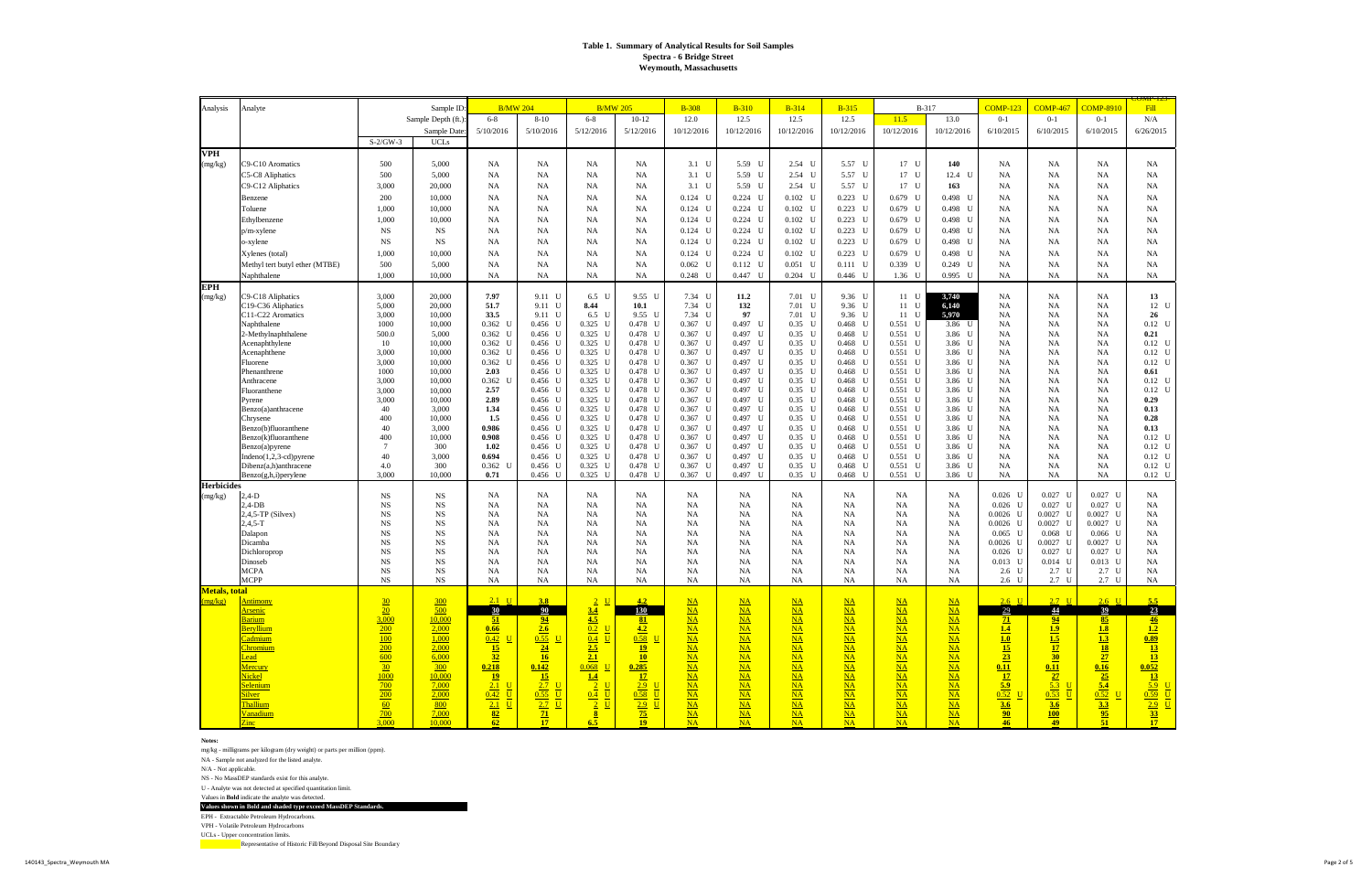#### **Notes:**

mg/kg - milligrams per kilogram (dry weight) or parts per million (ppm).

NA - Sample not analyzed for the listed analyte.

N/A - Not applicable.

NS - No MassDEP standards exist for this analyte.

U - Analyte was not detected at specified quantitation limit.

Values in **Bold** indicate the analyte was detected.

**Values shown in Bold and shaded type exceed MassDEP Standards.**

EPH - Extractable Petroleum Hydrocarbons.

VPH - Volatile Petroleum Hydrocarbons

UCLs - Upper concentration limits.

| Analysis          | Analyte                                           |                            | Sample ID                  |                           | <b>B/MW 204</b>          | <b>B/MW 205</b><br>$6 - 8$<br>$10 - 12$               |                        | <b>B-308</b>                                  | <b>B-310</b>           | $B-314$                  | $B-315$                              | <b>B-317</b>           |                        | <b>COMP-123</b>               | <b>COMP-467</b>                    | <b>COMP-8910</b>        | <u> UIVIF-123-</u><br>Fill                                                               |
|-------------------|---------------------------------------------------|----------------------------|----------------------------|---------------------------|--------------------------|-------------------------------------------------------|------------------------|-----------------------------------------------|------------------------|--------------------------|--------------------------------------|------------------------|------------------------|-------------------------------|------------------------------------|-------------------------|------------------------------------------------------------------------------------------|
|                   |                                                   |                            | Sample Depth (ft.)         | $6 - 8$                   | $8 - 10$                 |                                                       |                        | 12.0                                          | 12.5                   | 12.5                     | 12.5                                 | 11.5                   | 13.0                   | $0 - 1$                       | $0 - 1$                            | $0 - 1$                 | N/A                                                                                      |
|                   |                                                   |                            | Sample Date                | 5/10/2016                 | 5/10/2016                | 5/12/2016                                             | 5/12/2016              | 10/12/2016                                    | 10/12/2016             | 10/12/2016               | 10/12/2016                           | 10/12/2016             | 10/12/2016             | 6/10/2015                     | 6/10/2015                          | 6/10/2015               | 6/26/2015                                                                                |
|                   |                                                   | $S-2/GW-3$                 | <b>UCLs</b>                |                           |                          |                                                       |                        |                                               |                        |                          |                                      |                        |                        |                               |                                    |                         |                                                                                          |
| VPH               |                                                   |                            |                            |                           |                          |                                                       |                        |                                               |                        |                          |                                      |                        |                        |                               |                                    |                         |                                                                                          |
| (mg/kg)           | C9-C10 Aromatics                                  | 500                        | 5,000                      | <b>NA</b>                 | <b>NA</b>                | NA                                                    | <b>NA</b>              | $3.1$ U                                       | 5.59 U                 | 2.54 U                   | 5.57 U                               | 17 U                   | 140                    | <b>NA</b>                     | NA                                 | NA                      | <b>NA</b>                                                                                |
|                   | C5-C8 Aliphatics                                  | 500                        | 5,000                      | NA                        | NA                       | NA                                                    | NA                     | $3.1$ U                                       | 5.59 U                 | 2.54 U                   | 5.57 U                               | 17 U                   | 12.4 U                 | <b>NA</b>                     | <b>NA</b>                          | NA                      | NA                                                                                       |
|                   | C9-C12 Aliphatics                                 | 3,000                      | 20,000                     | <b>NA</b>                 | NA                       | NA                                                    | NA                     | $3.1$ U                                       | 5.59 U                 | 2.54 U                   | 5.57 U                               | 17 U                   | 163                    | <b>NA</b>                     | NA                                 | NA                      | NA                                                                                       |
|                   | Benzene                                           | 200                        | 10,000                     | NA                        | NA                       | NA                                                    | <b>NA</b>              | $0.124$ U                                     | $0.224$ U              | $0.102$ U                | $0.223$ U                            | $0.679$ U              | 0.498 U                | <b>NA</b>                     | NA                                 | NA                      | NA                                                                                       |
|                   | Toluene                                           | 1,000                      | 10,000                     | <b>NA</b>                 | NA                       | NA                                                    | NA                     | $0.124$ U                                     | $0.224$ U              | $0.102$ U                | $0.223$ U                            | $0.679$ U              | 0.498 U                | <b>NA</b>                     | <b>NA</b>                          | NA                      | NA                                                                                       |
|                   | Ethylbenzene                                      | 1,000                      | 10,000                     | <b>NA</b>                 | NA                       | NA                                                    | NA                     | $0.124$ U                                     | $0.224$ U              | $0.102$ U                | $0.223$ U                            | $0.679$ U              | 0.498 U                | <b>NA</b>                     | NA                                 | NA                      | NA                                                                                       |
|                   | p/m-xylene                                        | <b>NS</b><br>$_{\rm NS}$   | NS<br><b>NS</b>            | NA<br><b>NA</b>           | NA<br>NA                 | NA<br>NA                                              | <b>NA</b><br>NA        | $0.124$ U                                     | $0.224$ U<br>$0.224$ U | $0.102$ U<br>$0.102$ U   | $0.223$ U<br>$0.223$ U               | $0.679$ U<br>$0.679$ U | 0.498 U<br>0.498 U     | <b>NA</b>                     | NA                                 | NA                      | <b>NA</b>                                                                                |
|                   | o-xylene                                          | 1,000                      | 10,000                     | <b>NA</b>                 | NA                       | NA                                                    | NA                     | $0.124$ U<br>$0.124$ U                        | $0.224$ U              | $0.102$ U                | $0.223$ U                            | $0.679$ U              | 0.498 U                | <b>NA</b><br><b>NA</b>        | NA<br>NA                           | NA<br>NA                | <b>NA</b><br>NA                                                                          |
|                   | Xylenes (total)<br>Methyl tert butyl ether (MTBE) | 500                        | 5,000                      | NA                        | NA                       | NA                                                    | <b>NA</b>              | $0.062$ U                                     | $0.112$ U              | $0.051$ U                | $0.111$ U                            | 0.339 U                | $0.249$ U              | <b>NA</b>                     | NA                                 | NA                      | NA                                                                                       |
|                   | Naphthalene                                       | 1,000                      | 10,000                     | NA                        | NA                       | NA                                                    | NA                     | $0.248$ U                                     | 0.447<br>U             | $0.204$ U                | $0.446$ U                            | $1.36$ U               | $0.995$ U              | NA                            | NA                                 | NA                      | NA.                                                                                      |
| <b>EPH</b>        |                                                   |                            |                            |                           |                          |                                                       |                        |                                               |                        |                          |                                      |                        |                        |                               |                                    |                         |                                                                                          |
| (mg/kg)           | C9-C18 Aliphatics                                 | 3,000                      | 20,000                     | 7.97                      | 9.11 U                   | 6.5 U                                                 | 9.55 U                 | 7.34 U                                        | 11.2                   | 7.01 U                   | 9.36 U                               | 11 U                   | 3,740                  | NA                            | NA                                 | NA                      | 13                                                                                       |
|                   | C19-C36 Aliphatics                                | 5,000                      | 20,000                     | 51.7                      | 9.11 U                   | 8.44                                                  | 10.1                   | 7.34 U                                        | 132                    | 7.01 U                   | 9.36 U                               | 11 U                   | 6,140                  | <b>NA</b>                     | NA                                 | NA                      | 12 U                                                                                     |
|                   | C11-C22 Aromatics                                 | 3,000                      | 10,000                     | 33.5                      | 9.11 U                   | 6.5 U                                                 | 9.55 U                 | 7.34<br>U                                     | 97                     | 7.01 U                   | 9.36 U                               | 11 U                   | 5,970                  | <b>NA</b>                     | NA                                 | NA                      | 26                                                                                       |
|                   | Naphthalene                                       | 1000                       | 10,000                     | $0.362$ U                 | $0.456$ U                | $0.325$ U                                             | $0.478$ U              | U<br>0.367                                    | 0.497 U                | $0.35$ U                 | $0.468$ U                            | $0.551$ U              | 3.86 U                 | <b>NA</b>                     | NA                                 | NA                      | $0.12$ U                                                                                 |
|                   | 2-Methylnaphthalene<br>Acenaphthylene             | 500.0<br>10                | 5,000<br>10,000            | $0.362$ U<br>$0.362$ U    | $0.456$ U<br>$0.456$ U   | $0.325$ U<br>0.325 U                                  | $0.478$ U<br>$0.478$ U | 0.367<br>U<br>0.367<br>U                      | 0.497 U<br>0.497 U     | $0.35$ U<br>$0.35$ U     | $0.468$ U<br>$0.468$ U               | $0.551$ U<br>$0.551$ U | 3.86 U<br>3.86 U       | <b>NA</b><br><b>NA</b>        | <b>NA</b><br>NA                    | NA<br>NA                | 0.21<br>$0.12$ U                                                                         |
|                   | Acenaphthene                                      | 3,000                      | 10,000                     | $0.362$ U                 | $0.456$ U                | $0.325$ U                                             | $0.478$ U              | 0.367<br>U                                    | 0.497 U                | $0.35$ U                 | $0.468$ U                            | $0.551$ U              | 3.86 U                 | NA                            | NA                                 | NA                      | $0.12$ U                                                                                 |
|                   | Fluorene                                          | 3,000                      | 10,000                     | $0.362$ U                 | $0.456$ U                | $0.325$ U                                             | $0.478$ U              | 0.367<br>U                                    | 0.497 U                | $0.35$ U                 | $0.468$ U                            | $0.551$ U              | 3.86 U                 | NA                            | <b>NA</b>                          | NA                      | $0.12$ U                                                                                 |
|                   | Phenanthrene                                      | 1000                       | 10,000                     | 2.03                      | $0.456$ U                | $0.325$ U                                             | $0.478$ U              | 0.367<br>U                                    | 0.497 U                | $0.35$ U                 | $0.468$ U                            | $0.551$ U              | 3.86 U                 | <b>NA</b>                     | <b>NA</b>                          | NA                      | 0.61                                                                                     |
|                   | Anthracene                                        | 3,000                      | 10,000                     | 0.362<br>$\mathbf{U}$     | $0.456$ U                | 0.325 U                                               | $0.478$ U              | U<br>0.367                                    | 0.497 U                | $0.35$ U                 | $0.468$ U                            | $0.551$ U              | 3.86 U                 | NA                            | <b>NA</b>                          | NA                      | $0.12$ U                                                                                 |
|                   | Fluoranthene<br>Pyrene                            | 3,000<br>3,000             | 10,000<br>10,000           | 2.57<br>2.89              | $0.456$ U<br>$0.456$ U   | $0.325$ U<br>$0.325$ U                                | $0.478$ U<br>0.478 U   | 0.367<br>U<br>$0.367$ U                       | 0.497<br>U<br>0.497 U  | $0.35$ U<br>$0.35$ U     | $0.468$ U<br>$0.468$ U               | $0.551$ U<br>$0.551$ U | 3.86 U<br>3.86 U       | <b>NA</b><br><b>NA</b>        | NA<br>NA                           | NA<br>NA                | $0.12$ U<br>0.29                                                                         |
|                   | Benzo(a)anthracene                                | 40                         | 3,000                      | 1.34                      | $0.456$ U                | $0.325$ U                                             | $0.478$ U              | 0.367<br>U                                    | 0.497 U                | $0.35$ U                 | 0.468<br>U                           | $0.551$ U              | 3.86 U                 | NA                            | NA                                 | NA                      | 0.13                                                                                     |
|                   | Chrysene                                          | 400                        | 10,000                     | 1.5                       | $0.456$ U                | $0.325$ U                                             | $0.478$ U              | 0.367<br>U                                    | 0.497 U                | $0.35$ U                 | 0.468<br>U                           | $0.551$ U              | 3.86 U                 | <b>NA</b>                     | NA                                 | NA                      | 0.28                                                                                     |
|                   | Benzo(b)fluoranthene                              | 40                         | 3,000                      | 0.986                     | $0.456$ U                | $0.325$ U                                             | $0.478$ U              | U<br>0.367                                    | 0.497 U                | $0.35$ U                 | $0.468$ U                            | $0.551$ U              | 3.86 U                 | <b>NA</b>                     | <b>NA</b>                          | NA                      | 0.13                                                                                     |
|                   | Benzo(k)fluoranthene                              | 400<br>$\overline{7}$      | 10,000<br>300              | 0.908                     | $0.456$ U                | 0.325 U                                               | $0.478$ U              | 0.367<br>U                                    | U<br>0.497             | $0.35$ U                 | $0.468$ U                            | $0.551$ U              | 3.86 U                 | <b>NA</b>                     | NA                                 | NA                      | $0.12$ U                                                                                 |
|                   | Benzo(a)pyrene<br>Indeno(1,2,3-cd)pyrene          | 40                         | 3,000                      | 1.02<br>0.694             | $0.456$ U<br>$0.456$ U   | $0.325$ U<br>$0.325$ U                                | $0.478$ U<br>$0.478$ U | $0.367$ U<br>0.367<br>U                       | 0.497 U<br>0.497 U     | $0.35$ U<br>$0.35$ U     | $0.468$ U<br>0.468<br>U              | $0.551$ U<br>$0.551$ U | 3.86 U<br>3.86 U       | NA<br>NA                      | NA<br>NA                           | NA<br>NA                | $0.12$ U<br>$0.12$ U                                                                     |
|                   | Dibenz(a,h)anthracene                             | 4.0                        | 300                        | $0.362$ U                 | $0.456$ U                | $0.325$ U                                             | $0.478$ U              | 0.367<br>U                                    | 0.497 U                | $0.35$ U                 | 0.468<br>U                           | $0.551$ U              | 3.86 U                 | <b>NA</b>                     | <b>NA</b>                          | <b>NA</b>               | $0.12$ U                                                                                 |
|                   | $Benzo(g,h,i)$ per ylene                          | 3.000                      | 10,000                     | 0.71                      | $0.456$ U                | $0.325$ U                                             | $0.478$ U              | U<br>0.367                                    | U<br>0.497             | $0.35$ U                 | 0.468<br>U                           | 0.551<br>$\mathbf{U}$  | 3.86 U                 | NA                            | <b>NA</b>                          | NA                      | $0.12$ U                                                                                 |
| <b>Herbicides</b> |                                                   |                            |                            |                           |                          |                                                       |                        |                                               |                        |                          |                                      |                        |                        |                               |                                    |                         |                                                                                          |
| (mg/kg)           | $2,4-D$<br>$2,4$ -DB                              | $_{\rm NS}$                | <b>NS</b>                  | <b>NA</b>                 | <b>NA</b>                | NA                                                    | NA                     | NA                                            | <b>NA</b>              | NA                       | NA                                   | NA                     | NA                     | $0.026$ U<br>$0.026$ U        | $0.027$ U<br>$0.027$ U             | $0.027$ U               | NA                                                                                       |
|                   | $2,4,5$ -TP (Silvex)                              | $_{\rm NS}$<br>NS          | $_{\rm NS}$<br>$_{\rm NS}$ | NA<br><b>NA</b>           | <b>NA</b><br>NA          | NA<br>NA                                              | <b>NA</b><br><b>NA</b> | <b>NA</b><br>NA                               | <b>NA</b><br><b>NA</b> | <b>NA</b><br>NA          | NA<br>NA                             | NA<br>NA               | NA<br>NA               | $0.0026$ U                    | $0.0027$ U                         | $0.027$ U<br>$0.0027$ U | <b>NA</b><br><b>NA</b>                                                                   |
|                   | $2,4,5-T$                                         | $_{\rm NS}$                | <b>NS</b>                  | NA                        | <b>NA</b>                | NA                                                    | NA                     | NA                                            | <b>NA</b>              | <b>NA</b>                | NA                                   | NA                     | NA                     | $0.0026$ U                    | $0.0027$ U                         | $0.0027$ U              | <b>NA</b>                                                                                |
|                   | Dalapon                                           | $_{\rm NS}$                | $_{\rm NS}$                | NA                        | NA                       | NA                                                    | <b>NA</b>              | NA                                            | <b>NA</b>              | <b>NA</b>                | NA                                   | NA                     | NA                     | $0.065$ U                     | $0.068$ U                          | $0.066$ U               | <b>NA</b>                                                                                |
|                   | Dicamba                                           | $_{\rm NS}$                | <b>NS</b>                  | NA                        | NA                       | NA                                                    | NA                     | NA                                            | <b>NA</b>              | <b>NA</b>                | NA                                   | NA                     | NA                     | $0.0026$ U                    | $0.0027$ U                         | $0.0027$ U              | <b>NA</b>                                                                                |
|                   | Dichloroprop<br>Dinoseb                           | $_{\rm NS}$<br>$_{\rm NS}$ | $_{\rm NS}$<br>$_{\rm NS}$ | NA<br>NA                  | <b>NA</b><br><b>NA</b>   | NA<br>NA                                              | <b>NA</b><br><b>NA</b> | <b>NA</b><br><b>NA</b>                        | <b>NA</b><br><b>NA</b> | <b>NA</b><br><b>NA</b>   | NA<br>NA                             | NA<br>NA               | NA<br>NA               | $0.026$ U<br>$0.013$ U        | $0.027$ U<br>$0.014$ U             | $0.027$ U<br>$0.013$ U  | <b>NA</b><br><b>NA</b>                                                                   |
|                   | MCPA                                              | $_{\rm NS}$                | $_{\rm NS}$                | NA                        | <b>NA</b>                | NA                                                    | <b>NA</b>              | NA                                            | <b>NA</b>              | <b>NA</b>                | NA                                   | <b>NA</b>              | NA                     | 2.6 <sub>U</sub>              | 2.7 U                              | 2.7 U                   | NA                                                                                       |
|                   | <b>MCPP</b>                                       | NS                         | $_{\rm NS}$                | NA                        | NA                       | NA                                                    | <b>NA</b>              | NA                                            | NA                     | NA                       | NA                                   | NA                     | NA                     | 2.6 <sub>U</sub>              | 2.7 U                              | 2.7 U                   | NA                                                                                       |
| Metals, total     |                                                   |                            |                            |                           |                          |                                                       |                        |                                               |                        |                          |                                      |                        |                        |                               |                                    |                         |                                                                                          |
| (mg/kg)           | <u>Antimony</u>                                   | $\frac{30}{5}$             | $\frac{300}{2}$            | 2.1 U                     | 3.8                      | $2 \underline{U}$                                     | 4.2                    | $NA$                                          | $NA$                   | $NA$                     | $NA$                                 | $NA$                   | $NA$                   | $2.6$ U                       | $2.7 \quad U$                      | $2.6$ U                 |                                                                                          |
|                   | <b>Arsenic</b>                                    | 20                         | 500                        | $\frac{30}{2}$            | 90                       | 3.4                                                   | $\frac{130}{ }$        | $NA$                                          | $NA$                   | $NA$                     | $NA$                                 | $NA$                   | $\overline{\text{NA}}$ | $\frac{29}{2}$                | <u>44</u>                          | 39                      | $\overline{23}$                                                                          |
|                   | Barium<br>Beryllium                               | 3,000<br>200               | 10,000<br>2,000            | 51<br>0.66                | 94<br>2.6                | $\frac{4.5}{0.2}$ <u>U</u>                            | $\frac{81}{4.2}$       | $NA$<br>$\underline{\mathbf{NA}}$             | $NA$<br>$NA$           | $\underline{NA}$<br>$NA$ | $\underline{NA}$<br>$\underline{NA}$ | $NA$<br>$NA$           | $NA$<br>$NA$           | $\sqrt{21}$<br>$\frac{14}{1}$ |                                    | 85<br>$\overline{1.8}$  |                                                                                          |
|                   | Cadmium                                           | 100                        | 1,000                      | $0.42$ U                  | $0.55$ U                 | $0.4$ U                                               | $0.58$ U               | $\underline{NA}$                              | $NA$                   | $NA$                     | $\underline{NA}$                     | $NA$                   | $NA$                   |                               |                                    |                         |                                                                                          |
|                   | <u>Chromium</u>                                   | 200                        | 2,000                      | 15                        | 24                       | 2.5                                                   | 19                     | $NA$                                          | $NA$                   | $NA$                     | $NA$                                 | $NA$                   | $NA$                   | $\frac{1.0}{15}$              | $\frac{94}{1.9}$ $\frac{1.5}{1.7}$ | $\frac{1.3}{18}$        | $\begin{array}{r}\n 46 \\  \hline\n 1.2 \\  \hline\n 0.89 \\  \hline\n 13\n \end{array}$ |
|                   | <b>Lead</b>                                       | 600                        | 6,000                      | 32                        | 16                       | 2.1                                                   | 10                     | $NA$                                          | $NA$                   | $NA$                     | $NA$                                 | $NA$                   | $NA$                   | 23                            | $\frac{30}{2}$                     | 27                      | 13                                                                                       |
|                   | Mercury                                           | 30                         | 300                        | 0.218                     | 0.142                    | $0.068$ U                                             | $\frac{0.285}{17}$     | $\underline{NA}$                              | $NA$                   | $\underline{NA}$         | $\underline{NA}$                     | $NA$                   | $NA$                   | 0.11                          | $\frac{0.11}{27}$                  | 0.16                    | $\begin{array}{ c c }\n \hline\n 0.052 \\  \hline\n \hline\n 13\n \end{array}$           |
|                   | Nickel<br><b>Selenium</b>                         | 1000<br>700                | 10,000<br>7,000            | $\frac{19}{2}$<br>$2.1$ U | 15<br>$\overline{2.7}$ U | $\overline{1.4}$<br>$\frac{2}{2}$ U                   | 2.9 <sup>C</sup>       | $\underline{\mathbf{NA}}$<br>$\underline{NA}$ | $NA$<br>$NA$           | $NA$<br>$\underline{NA}$ | $NA$<br>$\underline{NA}$             | $NA$<br>$NA$           | $NA$<br>$NA$           | $\overline{17}$<br>5.9        | $5.3$ U                            | $\frac{25}{2}$<br>5.4   | $\frac{5.9}{ }$ U                                                                        |
|                   | <b>Silver</b>                                     | 200                        | 2,000                      | $0.42$ U                  | $0.55$ U                 | $0.4$ U                                               | $0.58$ U               | $NA$                                          | $NA$                   | $NA$                     | $NA$                                 | $NA$                   | $NA$                   | $\overline{0.52}$ U           | $0.53$ U                           | $0.52$ U                | $\overline{0.59}$ <u>U</u>                                                               |
|                   | Thallium                                          | 60                         | 800                        | $2.1$ U                   | $2.7 \quad U$            | $\frac{2}{ }$ U                                       | $2.9$ U                | $NA$                                          | $NA$                   | $NA$                     | $NA$                                 | $NA$                   | $NA$                   | 3.6                           | 3.6                                | 3.3                     | $2.9$ U                                                                                  |
|                   | Vanadium                                          | $\frac{700}{ }$            | 7,000                      | $\frac{82}{62}$           | $\frac{71}{17}$          | $\begin{array}{r} \hline 8 \\ \hline 6.5 \end{array}$ | $\frac{75}{19}$        | $\underline{NA}$                              | $NA$                   | $\underline{NA}$         | $\underline{NA}$                     | $\underline{NA}$       | $NA$                   | $\frac{90}{46}$               | $\frac{100}{49}$                   | $\frac{95}{51}$         | $\frac{33}{17}$                                                                          |
|                   | $\overline{\text{Zinc}}$                          | 3,000                      | 10,000                     |                           |                          |                                                       |                        | $\overline{\text{NA}}$                        | $\overline{\text{NA}}$ | $\overline{\text{NA}}$   | $\overline{\text{NA}}$               | NA                     | NA                     |                               |                                    |                         |                                                                                          |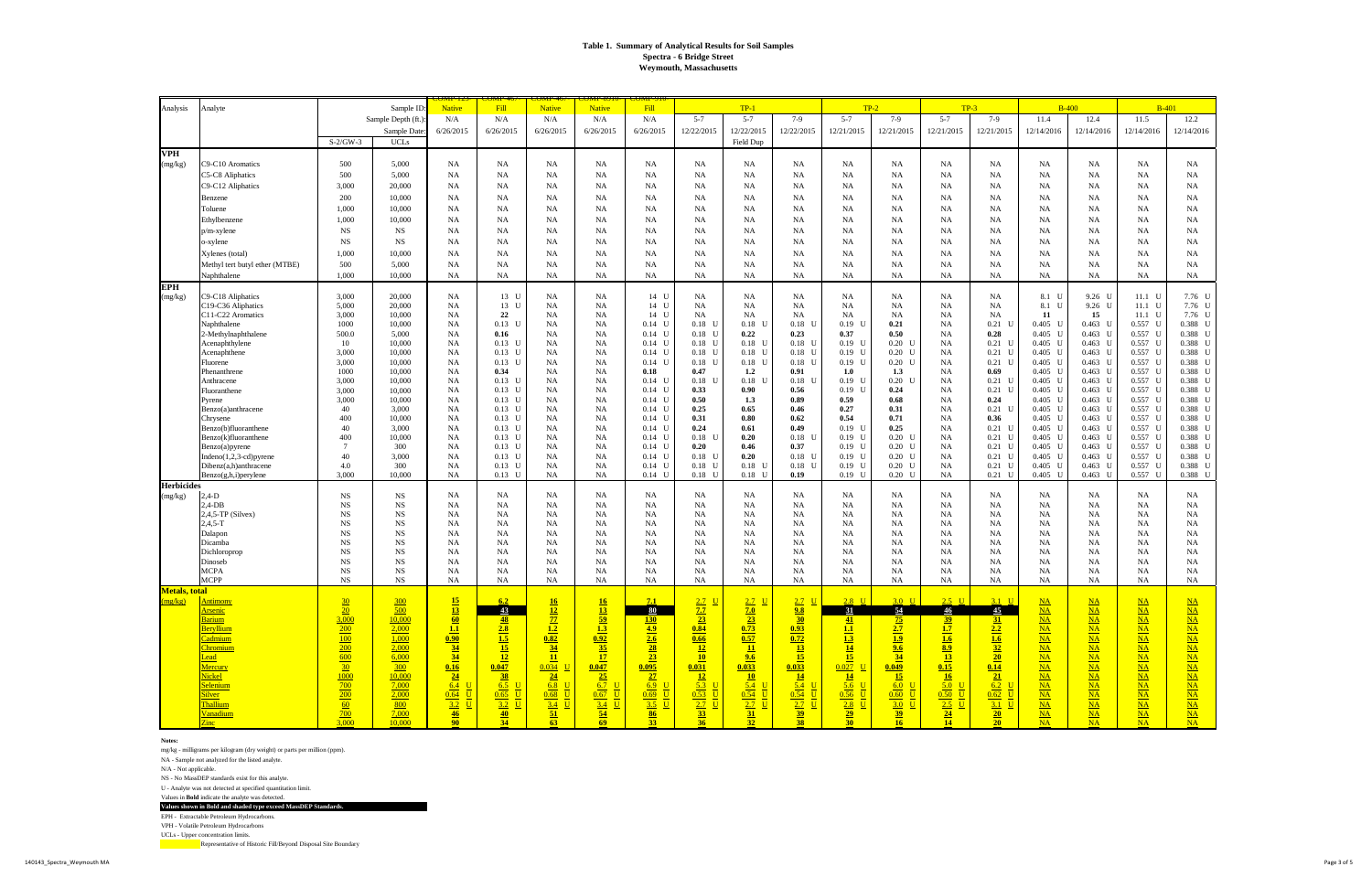#### **Notes:**

mg/kg - milligrams per kilogram (dry weight) or parts per million (ppm).

NA - Sample not analyzed for the listed analyte.

N/A - Not applicable.

NS - No MassDEP standards exist for this analyte.

U - Analyte was not detected at specified quantitation limit.

Values in **Bold** indicate the analyte was detected.

**Values shown in Bold and shaded type exceed MassDEP Standards.**

EPH - Extractable Petroleum Hydrocarbons.

VPH - Volatile Petroleum Hydrocarbons

UCLs - Upper concentration limits.

| Analysis          | Analyte                                       |                            | Sample ID:             | JMI - 123<br><b>Native</b>                                           | <u>JMIF-40</u><br>Fill                  | <u>UMIF-40</u><br><b>Native</b>                        | JIVIF-07<br><b>Native</b>      | <u>IVIF-91</u><br>Fill                |                                                                       | $TP-1$              |                                                                         |                                     | $TP-2$                                |                        | $TP-3$                                                                               |                                                      | $B-400$                   | $B-401$                  |                               |
|-------------------|-----------------------------------------------|----------------------------|------------------------|----------------------------------------------------------------------|-----------------------------------------|--------------------------------------------------------|--------------------------------|---------------------------------------|-----------------------------------------------------------------------|---------------------|-------------------------------------------------------------------------|-------------------------------------|---------------------------------------|------------------------|--------------------------------------------------------------------------------------|------------------------------------------------------|---------------------------|--------------------------|-------------------------------|
|                   |                                               |                            | Sample Depth (ft.)     | N/A                                                                  | N/A                                     | N/A                                                    | N/A                            | N/A                                   | $5 - 7$                                                               | $5 - 7$             | $7-9$                                                                   | $5 - 7$                             | $7-9$                                 | $5 - 7$                | $7-9$                                                                                | 11.4                                                 | 12.4                      | 11.5                     | 12.2                          |
|                   |                                               |                            | Sample Date:           | 6/26/2015                                                            | 6/26/2015                               | 6/26/2015                                              | 6/26/2015                      | 6/26/2015                             | 12/22/2015                                                            | 12/22/2015          | 12/22/2015                                                              | 12/21/2015                          | 12/21/2015                            | 12/21/2015             | 12/21/2015                                                                           | 12/14/2016                                           | 12/14/2016                | 12/14/2016               | 12/14/2016                    |
|                   |                                               | $S-2/GW-3$                 | <b>UCLs</b>            |                                                                      |                                         |                                                        |                                |                                       |                                                                       | Field Dup           |                                                                         |                                     |                                       |                        |                                                                                      |                                                      |                           |                          |                               |
| <b>VPH</b>        |                                               |                            |                        |                                                                      |                                         |                                                        |                                |                                       |                                                                       |                     |                                                                         |                                     |                                       |                        |                                                                                      |                                                      |                           |                          |                               |
| (mg/kg)           | C9-C10 Aromatics                              | 500                        | 5,000                  | NA                                                                   | NA                                      | <b>NA</b>                                              | <b>NA</b>                      | <b>NA</b>                             | NA                                                                    | <b>NA</b>           | <b>NA</b>                                                               | NA                                  | NA                                    | NA                     | NA                                                                                   | <b>NA</b>                                            | NA                        | <b>NA</b>                | <b>NA</b>                     |
|                   | C5-C8 Aliphatics                              | 500                        | 5,000                  | NA                                                                   | NA                                      | <b>NA</b>                                              | <b>NA</b>                      | <b>NA</b>                             | NA                                                                    | NA                  | NA                                                                      | NA                                  | <b>NA</b>                             | NA                     | NA                                                                                   | <b>NA</b>                                            | NA                        | NA                       | NA                            |
|                   | C9-C12 Aliphatics                             | 3,000                      | 20,000                 | NA                                                                   | NA                                      | <b>NA</b>                                              | NA                             | <b>NA</b>                             | NA                                                                    | <b>NA</b>           | <b>NA</b>                                                               | <b>NA</b>                           | NA                                    | NA                     | <b>NA</b>                                                                            | <b>NA</b>                                            | NA                        | <b>NA</b>                | <b>NA</b>                     |
|                   | Benzene                                       | 200                        | 10,000                 | <b>NA</b>                                                            | NA                                      | <b>NA</b>                                              | NA                             | <b>NA</b>                             | NA                                                                    | <b>NA</b>           | NA                                                                      | <b>NA</b>                           | NA                                    | NA                     | NA                                                                                   | <b>NA</b>                                            | NA                        | <b>NA</b>                | <b>NA</b>                     |
|                   | Toluene                                       | 1.000                      | 10,000                 | <b>NA</b>                                                            | NA                                      | <b>NA</b>                                              | NA                             | <b>NA</b>                             | NA                                                                    | NA                  | NA                                                                      | NA                                  | NA                                    | <b>NA</b>              | NA                                                                                   | <b>NA</b>                                            | NA                        | NA                       | NA                            |
|                   | Ethylbenzene                                  | 1,000                      | 10,000                 | <b>NA</b>                                                            | NA                                      | <b>NA</b>                                              | NA                             | <b>NA</b>                             | NA                                                                    | <b>NA</b>           | <b>NA</b>                                                               | <b>NA</b>                           | NA                                    | NA                     | <b>NA</b>                                                                            | <b>NA</b>                                            | NA                        | NA                       | <b>NA</b>                     |
|                   | $p/m$ -xylene                                 | <b>NS</b>                  | <b>NS</b>              | <b>NA</b>                                                            | NA                                      | <b>NA</b>                                              | <b>NA</b>                      | <b>NA</b>                             | NA                                                                    | <b>NA</b>           | <b>NA</b>                                                               | NA                                  | NA                                    | NA                     | NA                                                                                   | <b>NA</b>                                            | NA                        | NA                       | NA                            |
|                   | o-xylene                                      | <b>NS</b>                  | <b>NS</b>              | <b>NA</b>                                                            | NA                                      | <b>NA</b>                                              | NA                             | <b>NA</b>                             | NA                                                                    | NA                  | NA                                                                      | NA                                  | NA                                    | <b>NA</b>              | NA                                                                                   | <b>NA</b>                                            | NA                        | NA                       | NA                            |
|                   | Xylenes (total)                               | 1.000<br>500               | 10,000<br>5,000        | <b>NA</b>                                                            | NA<br>NA                                | <b>NA</b>                                              | NA                             | <b>NA</b><br><b>NA</b>                | NA<br>NA                                                              | <b>NA</b>           | <b>NA</b>                                                               | <b>NA</b><br>NA                     | NA<br>NA                              | NA                     | <b>NA</b>                                                                            | <b>NA</b><br>NA                                      | NA                        | <b>NA</b>                | <b>NA</b>                     |
|                   | Methyl tert butyl ether (MTBE)<br>Naphthalene | 1.000                      | 10,000                 | <b>NA</b><br><b>NA</b>                                               | NA                                      | <b>NA</b><br><b>NA</b>                                 | <b>NA</b><br>NA                | NA                                    | NA                                                                    | <b>NA</b><br>NA     | NA<br>NA                                                                | NA                                  | NA                                    | NA<br><b>NA</b>        | NA<br>NA                                                                             | <b>NA</b>                                            | NA<br>NA                  | <b>NA</b><br>NA          | <b>NA</b><br>NA               |
| <b>EPH</b>        |                                               |                            |                        |                                                                      |                                         |                                                        |                                |                                       |                                                                       |                     |                                                                         |                                     |                                       |                        |                                                                                      |                                                      |                           |                          |                               |
| (mg/kg)           | C9-C18 Aliphatics                             | 3,000                      | 20,000                 | NA                                                                   | 13 U                                    | <b>NA</b>                                              | <b>NA</b>                      | 14 U                                  | NA                                                                    | <b>NA</b>           | NA                                                                      | NA                                  | NA                                    | NA                     | <b>NA</b>                                                                            | 8.1 U                                                | 9.26 U                    | $11.1$ U                 | 7.76 U                        |
|                   | C19-C36 Aliphatics                            | 5,000                      | 20,000                 | <b>NA</b>                                                            | 13 U                                    | <b>NA</b>                                              | NA                             | 14 U                                  | NA                                                                    | <b>NA</b>           | NA                                                                      | <b>NA</b>                           | NA                                    | <b>NA</b>              | <b>NA</b>                                                                            | 8.1<br>U                                             | 9.26 U                    | $11.1$ U                 | 7.76 U                        |
|                   | C11-C22 Aromatics                             | 3,000                      | 10,000                 | <b>NA</b>                                                            | 22                                      | <b>NA</b>                                              | NA                             | 14 U                                  | NA                                                                    | NA                  | NA                                                                      | NA                                  | <b>NA</b>                             | <b>NA</b>              | NA                                                                                   | 11                                                   | 15                        | 11.1 U                   | 7.76 U                        |
|                   | Naphthalene                                   | 1000                       | 10,000                 | <b>NA</b>                                                            | $0.13$ U                                | <b>NA</b>                                              | NA                             | $0.14$ U                              | $0.18$ U                                                              | $0.18$ U            | $0.18$ U                                                                | 0.19                                | 0.21                                  | <b>NA</b>              | $0.21$ U                                                                             | $0.405$ U                                            | $0.463$ U                 | $0.557$ U                | 0.388 U<br>0.388 U            |
|                   | 2-Methylnaphthalene<br>Acenaphthylene         | 500.0<br>10                | 5,000<br>10,000        | <b>NA</b><br><b>NA</b>                                               | 0.16<br>$0.13$ U                        | <b>NA</b><br><b>NA</b>                                 | <b>NA</b><br>NA                | $0.14$ U<br>$0.14$ U                  | $0.18$ U<br>$0.18$ U                                                  | 0.22<br>$0.18$ U    | 0.23<br>$0.18$ U                                                        | 0.37<br>$0.19$ U                    | 0.50<br>$0.20$ U                      | NA<br>NA               | 0.28<br>$0.21$ U                                                                     | $0.405$ U<br>$0.405$ U                               | $0.463$ U<br>$0.463$ U    | $0.557$ U<br>$0.557$ U   | 0.388 U                       |
|                   | Acenaphthene                                  | 3.000                      | 10,000                 | <b>NA</b>                                                            | $0.13$ U                                | <b>NA</b>                                              | NA                             | $0.14$ U                              | $0.18$ U                                                              | $0.18$ U            | $0.18$ U                                                                | $0.19$ U                            | $0.20$ U                              | <b>NA</b>              | $0.21$ U                                                                             | $0.405$ U                                            | $0.463$ U                 | $0.557$ U                | 0.388 U                       |
|                   | Fluorene                                      | 3,000                      | 10.000                 | NA                                                                   | $0.13$ U                                | <b>NA</b>                                              | NA                             | 0.14                                  | $0.18$ U                                                              | $0.18$ U            | $0.18$ U                                                                | $0.19$ U                            | $0.20$ U                              | NA                     | $0.21$ U                                                                             | $0.405$ U                                            | $0.463$ U                 | $0.557$ U                | 0.388 U                       |
|                   | Phenanthrene                                  | 1000                       | 10.000                 | <b>NA</b>                                                            | 0.34                                    | <b>NA</b>                                              | NA                             | 0.18                                  | 0.47                                                                  | 1.2                 | 0.91                                                                    | 1.0                                 | 1.3                                   | <b>NA</b>              | 0.69                                                                                 | $0.405$ U                                            | $0.463$ U                 | $0.557$ U                | 0.388 U                       |
|                   | Anthracene                                    | 3,000                      | 10,000                 | <b>NA</b>                                                            | $0.13$ U                                | <b>NA</b>                                              | NA                             | $0.14$ U                              | $0.18$ U                                                              | 0.18                | $0.18$ L                                                                | $0.19$ U                            | $0.20$ U                              | <b>NA</b>              | $0.21$ U                                                                             | $0.405$ U                                            | $0.463$ U                 | $0.557$ U                | 0.388 U                       |
|                   | Fluoranthene<br>Pyrene                        | 3,000<br>3,000             | 10,000<br>10,000       | <b>NA</b><br><b>NA</b>                                               | $0.13$ U<br>$0.13$ U                    | <b>NA</b><br><b>NA</b>                                 | NA<br>NA                       | $0.14$ U<br>$0.14$ U                  | 0.33<br>0.50                                                          | 0.90<br>1.3         | 0.56<br>0.89                                                            | $0.19$ U<br>0.59                    | 0.24<br>0.68                          | <b>NA</b><br><b>NA</b> | $0.21$ U<br>0.24                                                                     | $0.405$ U<br>$0.405$ U                               | $0.463$ U<br>$0.463$ U    | $0.557$ U<br>$0.557$ U   | 0.388 U<br>0.388 U            |
|                   | Benzo(a)anthracene                            | 40                         | 3,000                  | <b>NA</b>                                                            | $0.13$ U                                | <b>NA</b>                                              | NA                             | $0.14$ U                              | 0.25                                                                  | 0.65                | 0.46                                                                    | 0.27                                | 0.31                                  | <b>NA</b>              | $0.21$ U                                                                             | $0.405$ U                                            | $0.463$ U                 | $0.557$ U                | 0.388 U                       |
|                   | Chrysene                                      | 400                        | 10.000                 | <b>NA</b>                                                            | $0.13$ U                                | <b>NA</b>                                              | NA                             | $0.14$ U                              | 0.31                                                                  | 0.80                | 0.62                                                                    | 0.54                                | 0.71                                  | <b>NA</b>              | 0.36                                                                                 | $0.405$ U                                            | $0.463$ U                 | $0.557$ U                | 0.388 U                       |
|                   | Benzo(b)fluoranthene                          | 40                         | 3,000                  | <b>NA</b>                                                            | $0.13$ U                                | <b>NA</b>                                              | NA                             | $0.14$ U                              | 0.24                                                                  | 0.61                | 0.49                                                                    | $0.19$ U                            | 0.25                                  | NA                     | $0.21$ U                                                                             | $0.405$ U                                            | $0.463$ U                 | $0.557$ U                | 0.388 U                       |
|                   | Benzo(k)fluoranthene                          | 400<br>$\mathcal{I}$       | 10.000                 | <b>NA</b>                                                            | $0.13$ U                                | NA                                                     | NA                             | $0.14$ U                              | $0.18$ U                                                              | 0.20                | $0.18$ U                                                                | $0.19$ U                            | $0.20$ U                              | <b>NA</b>              | $0.21$ U                                                                             | $0.405$ U                                            | $0.463$ U                 | $0.557$ U                | 0.388 U                       |
|                   | Benzo(a)pyrene<br>$Indeno(1,2,3-cd)pyrene$    | 40                         | 300<br>3.000           | <b>NA</b><br>NA                                                      | $0.13$ U<br>$0.13$ U                    | <b>NA</b><br><b>NA</b>                                 | NA<br>NA                       | $0.14$ U<br>$0.14$ U                  | 0.20<br>$0.18$ U                                                      | 0.46<br>0.20        | 0.37<br>$0.18$ U                                                        | $0.19$ U<br>$0.19$ U                | $0.20$ U<br>$0.20$ U                  | <b>NA</b><br><b>NA</b> | $0.21$ U<br>$0.21$ U                                                                 | $0.405$ U<br>$0.405$ U                               | $0.463$ U<br>$0.463$ U    | $0.557$ U<br>$0.557$ U   | 0.388 U<br>0.388 U            |
|                   | Dibenz(a,h)anthracene                         | 4.0                        | 300                    | <b>NA</b>                                                            | $0.13$ U                                | <b>NA</b>                                              | NA                             | $0.14$ U                              | $0.18$ U                                                              | $0.18$ U            | $0.18$ U                                                                | $0.19$ U                            | $0.20$ U                              | <b>NA</b>              | $0.21$ U                                                                             | $0.405$ U                                            | $0.463$ U                 | $0.557$ U                | 0.388 U                       |
|                   | Benzo(g,h,i)perylene                          | 3.000                      | 10.000                 | <b>NA</b>                                                            | $0.13$ U                                | <b>NA</b>                                              | NA                             | $0.14$ U                              | $0.18$ U                                                              | $0.18$ U            | 0.19                                                                    | $0.19$ U                            | $0.20$ U                              | NA                     | $0.21$ U                                                                             | $0.405$ U                                            | $0.463$ U                 | $0.557$ U                | $0.388$ U                     |
| <b>Herbicides</b> |                                               |                            |                        |                                                                      |                                         |                                                        |                                |                                       |                                                                       |                     |                                                                         |                                     |                                       |                        |                                                                                      |                                                      |                           |                          |                               |
| (mg/kg)           | $2,4-D$                                       | $_{\rm NS}$                | <b>NS</b>              | NA                                                                   | NA                                      | <b>NA</b>                                              | <b>NA</b>                      | <b>NA</b>                             | NA                                                                    | <b>NA</b>           | NA                                                                      | NA                                  | NA                                    | NA                     | NA                                                                                   | NA                                                   | NA                        | <b>NA</b>                | <b>NA</b>                     |
|                   | $2,4$ -DB                                     | <b>NS</b><br>NS            | <b>NS</b><br><b>NS</b> | <b>NA</b><br><b>NA</b>                                               | NA                                      | <b>NA</b><br><b>NA</b>                                 | NA<br>NA                       | <b>NA</b><br><b>NA</b>                | NA<br>NA                                                              | <b>NA</b><br>NA     | NA                                                                      | NA<br><b>NA</b>                     | NA<br>NA                              | NA<br>NA               | <b>NA</b><br>NA                                                                      | <b>NA</b><br><b>NA</b>                               | NA<br>NA                  | <b>NA</b><br><b>NA</b>   | <b>NA</b><br><b>NA</b>        |
|                   | $2,4,5$ -TP (Silvex)<br>$2,4,5-T$             | NS.                        | <b>NS</b>              | <b>NA</b>                                                            | NA<br>NA                                | <b>NA</b>                                              | NA                             | <b>NA</b>                             | NA                                                                    | NA                  | <b>NA</b><br>NA                                                         | <b>NA</b>                           | NA                                    | NA                     | NA.                                                                                  | <b>NA</b>                                            | NA                        | NA                       | NA                            |
|                   | Dalapon                                       | $_{\rm NS}$                | $_{NS}$                | <b>NA</b>                                                            | NA                                      | <b>NA</b>                                              | <b>NA</b>                      | <b>NA</b>                             | NA                                                                    | NA                  | <b>NA</b>                                                               | NA                                  | NA                                    | NA                     | NA                                                                                   | <b>NA</b>                                            | NA                        | <b>NA</b>                | NA                            |
|                   | Dicamba                                       | <b>NS</b>                  | <b>NS</b>              | <b>NA</b>                                                            | NA                                      | <b>NA</b>                                              | <b>NA</b>                      | <b>NA</b>                             | NA                                                                    | NA                  | NA                                                                      | NA                                  | <b>NA</b>                             | <b>NA</b>              | NA                                                                                   | <b>NA</b>                                            | NA                        | <b>NA</b>                | <b>NA</b>                     |
|                   | Dichloroprop                                  | <b>NS</b>                  | <b>NS</b>              | <b>NA</b>                                                            | NA                                      | NA                                                     | NA                             | <b>NA</b>                             | NA                                                                    | NA                  | NA                                                                      | NA                                  | NA                                    | <b>NA</b>              | NA.                                                                                  | <b>NA</b>                                            | NA                        | <b>NA</b>                | <b>NA</b>                     |
|                   | Dinoseb<br><b>MCPA</b>                        | $_{\rm NS}$<br>$_{\rm NS}$ | $_{NS}$<br><b>NS</b>   | <b>NA</b><br><b>NA</b>                                               | NA<br>NA                                | <b>NA</b><br><b>NA</b>                                 | NA<br>NA                       | <b>NA</b><br><b>NA</b>                | NA<br>NA                                                              | NA<br>NA            | NA<br>NA                                                                | <b>NA</b><br><b>NA</b>              | NA<br>NA                              | NA<br>NA               | NA<br>NA.                                                                            | <b>NA</b><br><b>NA</b>                               | NA<br>NA                  | <b>NA</b><br>NA          | <b>NA</b><br>NA               |
|                   | <b>MCPP</b>                                   | $_{\rm NS}$                | $_{NS}$                | <b>NA</b>                                                            | NA                                      | <b>NA</b>                                              | NA                             | NA                                    | NA                                                                    | NA                  | <b>NA</b>                                                               | NA                                  | NA                                    | <b>NA</b>              | NA                                                                                   | <b>NA</b>                                            | NA                        | NA                       | NA                            |
| Metals, total     |                                               |                            |                        |                                                                      |                                         |                                                        |                                |                                       |                                                                       |                     |                                                                         |                                     |                                       |                        |                                                                                      |                                                      |                           |                          |                               |
| (mg/kg)           | <u>Antimony</u>                               | $\frac{30}{2}$             |                        |                                                                      | 6.2                                     |                                                        | $\frac{16}{1}$                 | 7.1                                   | $2.7 \mathrm{U}$                                                      | <u>2.7 U</u>        | <u>2.7 U</u>                                                            | $2.8$ U                             | $3.0$ U                               | $2.5 \quad U$          | <u>3.1 U</u>                                                                         | $\underline{NA}$                                     | $\underline{NA}$          | <u>NA</u>                | $\underline{NA}$              |
|                   | <u>Arsenic</u>                                | 20                         | 500                    | $\frac{15}{13}$                                                      | $\frac{43}{ }$                          |                                                        | 13                             | 80                                    | 7.7                                                                   | $\frac{7.0}{23}$    | $\frac{9.8}{30}$                                                        | 31                                  | 54                                    | $\frac{46}{1}$         | $\frac{45}{5}$                                                                       | $\frac{\text{NA}}{\text{NA}}$                        | $NA$                      | $NA$                     | $NA$                          |
|                   | Barium                                        | 3,000                      | 10,000                 | $\frac{60}{1.1}$                                                     |                                         |                                                        | $\frac{59}{13}$                |                                       | 23                                                                    |                     |                                                                         | $\frac{41}{1}$                      |                                       |                        |                                                                                      |                                                      | $\underline{\mathbf{NA}}$ | $\underline{NA}$         | $NA$                          |
|                   | Beryllium<br>Cadmium                          | 200<br>100                 | 2,000<br>1,000         |                                                                      |                                         |                                                        |                                |                                       | 0.84<br>0.66                                                          | $\frac{0.73}{0.57}$ | $\frac{0.93}{0.93}$                                                     |                                     |                                       |                        |                                                                                      | $\frac{\overline{\text{NA}}}{\underline{\text{NA}}}$ | $NA$<br>$NA$              | $\underline{NA}$<br>$NA$ | $NA$<br>$NA$                  |
|                   | <u>Chromium</u>                               | 200                        | 2,000                  | $\frac{0.90}{34}$                                                    | $\frac{\frac{48}{2.8}}{\frac{1.5}{15}}$ | $\frac{16}{12}$<br>$\frac{17}{12}$<br>$\frac{1.2}{34}$ | $\frac{0.92}{35}$              | $\frac{130}{4.9}$<br>$\frac{2.6}{28}$ | $\frac{12}{2}$                                                        | $\frac{11}{1}$      | $\begin{array}{ c c }\n\hline\n0.72 \\ \hline\n\hline\n13\n\end{array}$ | $\frac{11}{13}$                     | $\frac{75}{2.7}$<br>$\frac{1.9}{9.6}$ |                        | $\frac{\underline{31}}{\underline{2.2}}$<br>$\frac{\underline{1.6}}{\underline{32}}$ | $NA$                                                 | $NA$                      | $\overline{\text{NA}}$   | $NA$                          |
|                   | Lead                                          | 600                        | 6,000                  | $\frac{34}{ }$                                                       | 12                                      | $\frac{11}{2}$                                         | 17                             | 23                                    | 10                                                                    | 9.6                 | 15                                                                      | 15                                  | $\frac{34}{5}$                        |                        | $\begin{array}{r} \n \frac{20}{0.14} \\  \hline\n \frac{21}{0.2} \\  \end{array}$    | $\frac{\text{NA}}{\text{NA}}$                        | $NA$                      | $\frac{NA}{NA}$          | NA                            |
|                   | <b>Mercury</b>                                | $\frac{30}{2}$             | 300                    | 0.16                                                                 | 0.047                                   | $0.034$ U                                              | $\frac{0.047}{25}$             | 0.095                                 | $\begin{array}{ c c }\n \hline\n 0.031 \\  \hline\n 12\n \end{array}$ | 0.033               | $\begin{array}{ c c }\n \hline\n 0.033 \\  \hline\n 14\n \end{array}$   | $0.027$ U                           | $\frac{0.049}{15}$                    |                        |                                                                                      |                                                      | $NA$                      |                          | $NA$                          |
|                   | <mark>Nickel</mark>                           | 1000                       | 10,000                 | $\begin{array}{c c}\n\hline\n\frac{24}{6.4} & \text{U}\n\end{array}$ | 38                                      | $\frac{24}{ }$                                         |                                | $\frac{27}{6.9}$ U                    | $\overline{5.3}$ U                                                    | 10                  |                                                                         | $\frac{14}{ }$<br>$\frac{1}{5.6}$ U |                                       |                        |                                                                                      | $NA$                                                 | $NA$                      | $NA$                     | $NA$                          |
|                   | Selenium<br><u>Silver</u>                     | $\frac{700}{ }$<br>200     | 7,000<br>2,000         | $0.64$ U                                                             | $6.5$ U<br>$0.65$ U                     | $\overline{6.8}$ U<br>$0.68$ U                         | $\overline{6.7}$ U<br>$0.67$ U | $0.69$ U                              | $0.53$ U                                                              | $5.4$ U<br>$0.54$ U | $\frac{5.4}{ }$ U<br>$0.54$ U                                           | $0.56$ U                            | $\overline{6.0}$ U<br>$0.60$ U        | $0.50$ U               | $0.62$ U                                                                             | $NA$<br>$\underline{\mathbf{NA}}$                    | $NA$<br>$NA$              | $NA$<br>$NA$             | $NA$<br>$NA$                  |
|                   | <b>Thallium</b>                               | 60                         | 800                    | $3.2$ U                                                              | $3.2$ U                                 | $3.4$ U                                                | $3.4$ U                        | $3.5$ U                               | $2.7 \quad U$                                                         | $2.7 \quad U$       | $2.7 \quad U$                                                           | $2.8$ U                             | $3.0$ U                               | $2.5$ U                | 3.1 U                                                                                | $\overline{\text{NA}}$                               | $NA$                      | $NA$                     | $NA$                          |
|                   | <b>Vanadium</b>                               | $\frac{700}{ }$            | 7,000                  | $\frac{46}{90}$                                                      | $\frac{40}{34}$                         | $\frac{51}{63}$                                        | $\frac{54}{69}$                | $\frac{86}{33}$                       | $\frac{33}{36}$                                                       | $\frac{31}{32}$     | $\frac{39}{38}$                                                         | $\frac{29}{30}$                     | $\frac{39}{16}$                       | $\frac{24}{14}$        | $\frac{20}{20}$                                                                      | $\frac{\text{NA}}{\text{NA}}$                        | $NA$                      | $NA$                     | $\frac{\text{NA}}{\text{NA}}$ |
|                   | $\overline{\text{Zinc}}$                      | 3.000                      | 10,000                 |                                                                      |                                         |                                                        |                                |                                       |                                                                       |                     |                                                                         |                                     |                                       |                        |                                                                                      |                                                      | NA                        | NA                       |                               |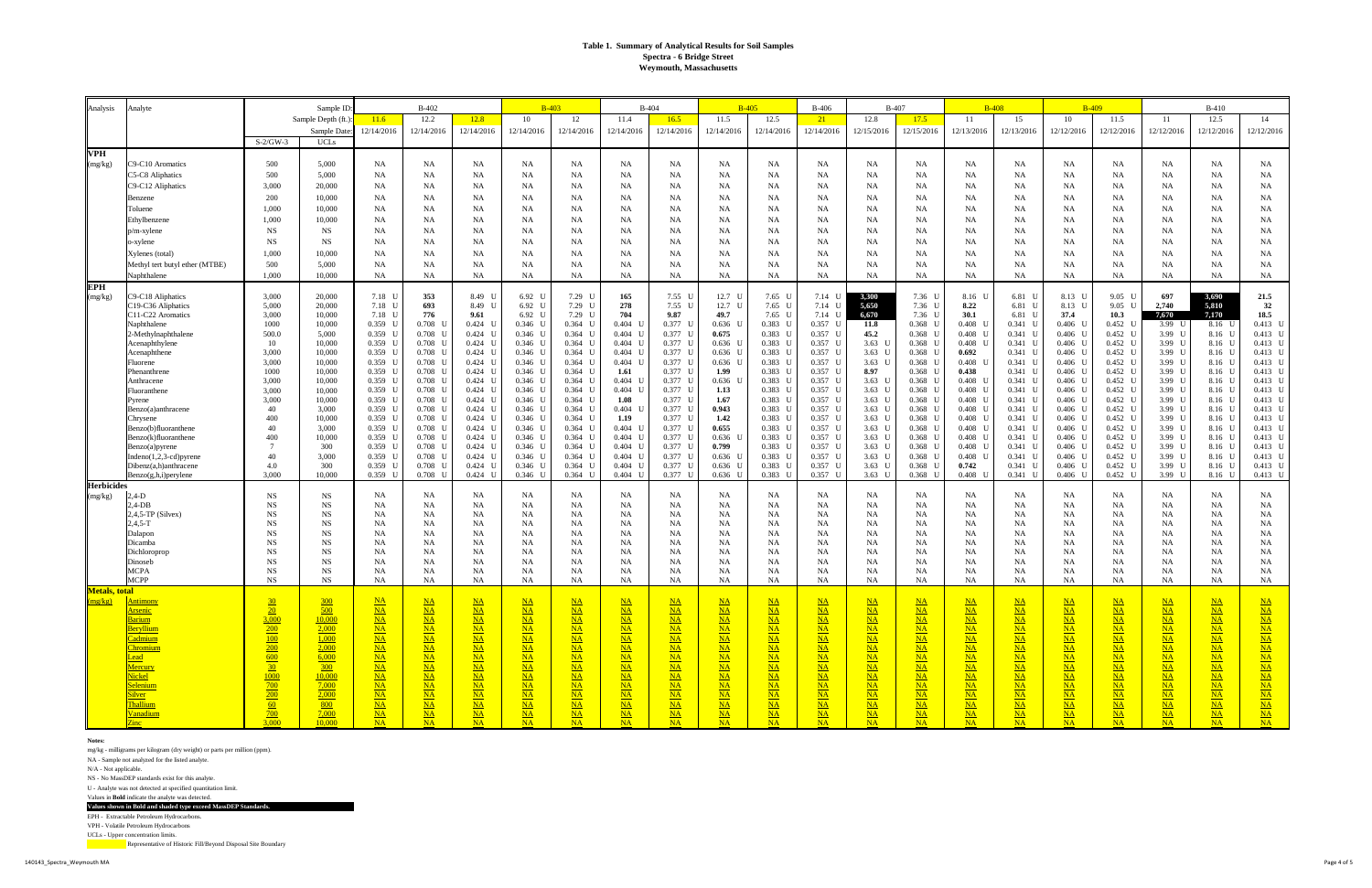#### **Notes:**

mg/kg - milligrams per kilogram (dry weight) or parts per million (ppm).

NA - Sample not analyzed for the listed analyte.

N/A - Not applicable.

NS - No MassDEP standards exist for this analyte.

U - Analyte was not detected at specified quantitation limit.

Values in **Bold** indicate the analyte was detected.

**Values shown in Bold and shaded type exceed MassDEP Standards.** EPH - Extractable Petroleum Hydrocarbons.

VPH - Volatile Petroleum Hydrocarbons

UCLs - Upper concentration limits.

| Analysis              | Analyte                                      |                          | Sample ID:         |                        | <b>B-402</b>           |                        |                               | $B-403$                          | $B-404$                        |                        |                     | $B-405$                  | <b>B-406</b>           |                        | <b>B-407</b>                      |                                  | <b>B-408</b>             | <b>B-409</b>           |                        |                        | $B-410$                 |                               |
|-----------------------|----------------------------------------------|--------------------------|--------------------|------------------------|------------------------|------------------------|-------------------------------|----------------------------------|--------------------------------|------------------------|---------------------|--------------------------|------------------------|------------------------|-----------------------------------|----------------------------------|--------------------------|------------------------|------------------------|------------------------|-------------------------|-------------------------------|
|                       |                                              |                          | Sample Depth (ft.) | 11.6                   | 12.2                   | 12.8                   | 10                            | 12                               | 11.4                           | 16.5                   | 11.5                | 12.5                     | 21                     | 12.8                   | 17.5                              | 11                               | 15                       | 10                     | 11.5                   | 11                     | 12.5                    | 14                            |
|                       |                                              |                          | Sample Date        | 12/14/2016             | 12/14/2016             | 12/14/2016             | 12/14/2016                    | 12/14/2016                       | 12/14/2016                     | 12/14/2016             | 12/14/2016          | 12/14/2016               | 12/14/2016             | 12/15/2016             | 12/15/2016                        | 12/13/2016                       | 12/13/2016               | 12/12/2016             | 12/12/2016             | 12/12/2016             | 12/12/2016              | 12/12/2016                    |
|                       |                                              | $S-2/GW-3$               | <b>UCLs</b>        |                        |                        |                        |                               |                                  |                                |                        |                     |                          |                        |                        |                                   |                                  |                          |                        |                        |                        |                         |                               |
| <b>VPH</b>            |                                              |                          |                    |                        |                        |                        |                               |                                  |                                |                        |                     |                          |                        |                        |                                   |                                  |                          |                        |                        |                        |                         |                               |
| (mg/kg)               | C9-C10 Aromatics                             | 500                      | 5,000              | NA                     | NA                     | <b>NA</b>              | NA                            | NA                               | NA                             | <b>NA</b>              | NA                  | NA                       | NA.                    | NA                     | NA                                | NA                               | NA.                      | <b>NA</b>              | <b>NA</b>              | NA                     | <b>NA</b>               | <b>NA</b>                     |
|                       | C5-C8 Aliphatics                             | 500                      | 5,000              | NA                     | NA.                    | NA                     | NA                            | NA                               | NA                             | <b>NA</b>              | NA                  | NA                       | NA                     | NA                     | <b>NA</b>                         | NA                               | NA.                      | NA                     | <b>NA</b>              | NA                     | NA.                     | NA                            |
|                       | C9-C12 Aliphatics                            | 3,000                    | 20,000             | NA                     | NA.                    | <b>NA</b>              | <b>NA</b>                     | <b>NA</b>                        | <b>NA</b>                      | <b>NA</b>              | NA                  | NA.                      | NA.                    | NA                     | <b>NA</b>                         | NA                               | NA                       | <b>NA</b>              | <b>NA</b>              | NA                     | NA                      | <b>NA</b>                     |
|                       | Benzene                                      | 200                      | 10,000             | NA                     | NA.                    | <b>NA</b>              | <b>NA</b>                     | NA                               | NA                             | NA                     | <b>NA</b>           | NA                       | NA                     | NA                     | <b>NA</b>                         | NA                               | NA                       | <b>NA</b>              | <b>NA</b>              | NA                     | NA                      | NA                            |
|                       | Toluene                                      | 1.000                    | 10,000             | NA                     | NA.                    | <b>NA</b>              | NA                            | <b>NA</b>                        | NA                             | <b>NA</b>              | NA                  | NA.                      | NA.                    | <b>NA</b>              | NA                                | NA                               | NA                       | NA                     | <b>NA</b>              | NA                     | NA.                     | NA                            |
|                       | Ethylbenzene                                 | 1,000                    | 10,000             | NA                     | NA                     | <b>NA</b>              | <b>NA</b>                     | <b>NA</b>                        | <b>NA</b>                      | <b>NA</b>              | NA                  | NA                       | NA.                    | <b>NA</b>              | <b>NA</b>                         | NA                               | NA                       | <b>NA</b>              | <b>NA</b>              | NA                     | NA                      | <b>NA</b>                     |
|                       | $p/m$ -xylene                                | <b>NS</b>                | NS                 | NA                     | NA                     | <b>NA</b>              | <b>NA</b>                     | NA                               | <b>NA</b>                      | <b>NA</b>              | NA                  | NA                       | NA                     | NA                     | <b>NA</b>                         | NA                               | NA                       | <b>NA</b>              | <b>NA</b>              | NA                     | NA                      | NA                            |
|                       | o-xylene                                     | <b>NS</b>                | NS                 | NA                     | NA.                    | <b>NA</b>              | NA                            | <b>NA</b>                        | NA                             | <b>NA</b>              | NA                  | NA.                      | NA.                    | <b>NA</b>              | NA                                | NA                               | NA                       | <b>NA</b>              | <b>NA</b>              | NA                     | NA.                     | NA                            |
|                       | Xylenes (total)                              | 1.000                    | 10,000             | NA                     | NA                     | <b>NA</b>              | <b>NA</b>                     | <b>NA</b>                        | <b>NA</b>                      | <b>NA</b>              | NA                  | NA                       | NA.                    | <b>NA</b>              | <b>NA</b>                         | NA                               | NA                       | <b>NA</b>              | NA                     | <b>NA</b>              | NA                      | <b>NA</b>                     |
|                       | Methyl tert butyl ether (MTBE)               | 500                      | 5,000              | NA                     | NA                     | <b>NA</b>              | <b>NA</b>                     | <b>NA</b>                        | NA                             | <b>NA</b>              | <b>NA</b>           | NA                       | NA                     | NA                     | NA                                | NA                               | NA                       | NA                     | <b>NA</b>              | NA                     | NA.                     | NA                            |
|                       | Naphthalene                                  | 1.000                    | 10,000             | NA                     | NA                     | NA                     | <b>NA</b>                     | NA                               | <b>NA</b>                      | <b>NA</b>              | <b>NA</b>           | NA                       | NA                     | NA                     | NA                                | NA                               | NA                       | NA                     | NA                     | NA                     | NA                      | NA                            |
| <b>EPH</b>            |                                              |                          |                    |                        |                        |                        |                               |                                  |                                |                        |                     |                          |                        |                        |                                   |                                  |                          |                        |                        |                        |                         |                               |
| (mg/kg)               | C9-C18 Aliphatics                            | 3,000                    | 20,000             | 7.18 U                 | 353                    | 8.49 U                 | 6.92 U                        | 7.29 U                           | 165                            | 7.55 U                 | $12.7\quad$         | $7.65$ U                 | $7.14-$                | 3,300                  | 7.36 U                            | 8.16 U                           | 6.81 U                   | 8.13 U                 | $9.05$ U               | 697                    | 3,690                   | 21.5                          |
|                       | C19-C36 Aliphatics<br>C11-C22 Aromatics      | 5,000<br>3,000           | 20,000<br>10,000   | 7.18 U<br>7.18 U       | 693<br>776             | 8.49 U<br>9.61         | 6.92 U<br>6.92 U              | 7.29 U<br>7.29 U                 | 278<br>704                     | 7.55 U<br>9.87         | $12.7\quad$<br>49.7 | $7.65$ U<br>$7.65$ U     | $7.14-1$<br>$7.14-1$   | 5,650<br>6,670         | 7.36 U<br>$7.36-1$                | 8.22<br>30.1                     | 6.81 U<br>6.81 U         | 8.13 U<br>37.4         | $9.05$ U<br>10.3       | 2,740<br>7,670         | 5,810<br>7,170          | 32<br>18.5                    |
|                       | Naphthalene                                  | 1000                     | 10,000             | $0.359$ U              | $0.708$ U              | $0.424$ U              | 0.346 U                       | $0.364$ U                        | $0.404$ U                      | 0.377 U                | 0.636               | $0.383$ U                | $0.357$ U              | 11.8                   | $0.368$ U                         | $0.408$ L                        | $0.341$ U                | $0.406$ U              | $0.452$ U              | 3.99 $I$               | 8.16 L                  | $0.413$ I                     |
|                       | 2-Methylnaphthalene                          | 500.0                    | 5,000              | $0.359$ U              | $0.708$ U              | $0.424$ U              | $0.346$ U                     | $0.364$ U                        | $0.404$ U                      | $0.377$ U              | 0.675               | $0.383$ U                | $0.357$ U              | 45.2                   | $0.368$ U                         | $0.408$ L                        | $0.341$ U                | $0.406$ U              | $0.452$ L              | 3.99 $L$               | 8.16 U                  | $0.413$ I                     |
|                       | Acenaphthylene                               | 10                       | 10,000             | 0.359 U                | $0.708$ U              | $0.424$ U              | $0.346$ U                     | $0.364$ U                        | $0.404$ U                      | $0.377$ U              | $0.636$ U           | $0.383$ U                | $0.357$ U              | 3.63                   | $0.368$ U                         | 0.408                            | $0.341$ U                | $0.406$ U              | $0.452$ L              | 3.99 L                 | $8.16-1$                | $0.413$ I                     |
|                       | Acenaphthene                                 | 3,000                    | 10,000             | $0.359$ U              | $0.708$ U              | $0.424$ U              | $0.346$ U                     | $0.364$ U                        | $0.404$ U                      | $0.377$ U              | $0.636$ U           | $0.383$ U                | $0.357$ U              | $3.63 \text{ U}$       | $0.368$ U                         | 0.692                            | $0.341$ U                | $0.406$ U              | $0.452$ U              | 3.99 $L$               | $8.16-1$                | $0.413$ I                     |
|                       | Fluorene<br>Phenanthrene                     | 3.000<br>1000            | 10,000<br>10.000   | 0.359 U<br>$0.359$ U   | $0.708$ U<br>$0.708$ U | $0.424$ U<br>$0.424$ U | $0.346$ U<br>0.346 U          | $0.364$ U<br>$0.364$ U           | $0.404$ U<br>1.61              | $0.377$ U<br>$0.377$ U | $0.636$ I<br>1.99   | $0.383$ U<br>$0.383$ U   | $0.357$ U<br>$0.357$ U | $3.63 \quad U$<br>8.97 | $0.368$ U<br>$0.368$ U            | 0.408<br>0.438                   | $0.341$ U<br>$0.341$ U   | $0.406$ U<br>$0.406$ U | $0.452$ L<br>$0.452$ U | 3.99 L<br>3.99 L       | $8.16-1$<br>$8.16-1$    | $0.413$ I<br>$0.413$ I        |
|                       | Anthracene                                   | 3,000                    | 10,000             | $0.359$ U              | $0.708$ U              | $0.424$ U              | $0.346$ U                     | $0.364$ U                        | $0.404$ U                      | $0.377$ U              | 0.636               | $0.383$ U                | $0.357$ U              | 3.63 $L$               | $0.368$ U                         | 0.408                            | $0.341$ U                | $0.406$ U              | $0.452 \quad L$        | 3.99 U                 | 8.16 U                  | $0.413$ I                     |
|                       | Fluoranthene                                 | 3,000                    | 10,000             | 0.359 U                | $0.708$ U              | $0.424$ U              | $0.346$ U                     | $0.364$ U                        | $0.404$ U                      | $0.377$ U              | 1.13                | $0.383$ U                | $0.357$ U              | $3.63$ I               | $0.368$ L                         | 0.408                            | $0.341$ U                | $0.406$ U              | $0.452$ L              | 3.99 L                 | 8.16                    | $0.413$ 1                     |
|                       | Pyrene                                       | 3,000                    | 10,000             | $0.359$ U              | $0.708$ U              | $0.424$ U              | $0.346$ U                     | $0.364$ U                        | 1.08                           | $0.377$ U              | 1.67                | $0.383$ U                | $0.357$ U              | 3.63 $L$               | $0.368$ U                         | 0.408                            | $0.341$ U                | $0.406$ U              | $0.452$ U              | 3.99 $L$               | $8.16-1$                | $0.413$ I                     |
|                       | Benzo(a)anthracene                           | 40                       | 3,000              | 0.359 U                | $0.708$ U              | $0.424$ U              | $0.346$ U                     | $0.364$ U                        | $0.404$ U                      | $0.377$ U              | 0.943               | 0.383 U                  | $0.357$ U              | 3.63 $U$               | $0.368$ U                         | $0.408$ U                        | $0.341$ L                | $0.406$ U              | $0.452$ L              | 3.99 $L$               | $8.16-1$                | $0.413$ I                     |
|                       | Chrysene                                     | 400                      | 10.000             | $0.359$ U              | $0.708$ U              | $0.424$ U              | 0.346 U                       | $0.364$ U                        | 1.19                           | $0.377$ U              | 1.42                | $0.383$ U                | $0.357$ U              | 3.63 $L$               | $0.368$ L                         | $0.408$ L                        | $0.341$ L                | $0.406$ U              | $0.452$ U              | 3.99 L                 | 8.16 L                  | $0.413$ I                     |
|                       | Benzo(b)fluoranthene<br>Benzo(k)fluoranthene | 40<br>400                | 3,000<br>10,000    | $0.359$ U<br>0.359 U   | $0.708$ U<br>$0.708$ U | $0.424$ U<br>$0.424$ U | $0.346$ U<br>$0.346$ U        | $0.364$ U<br>$0.364$ U           | $0.404$ U<br>$0.404$ U         | $0.377$ U<br>$0.377$ U | 0.655<br>$0.636$ U  | $0.383$ U<br>$0.383$ U   | $0.357$ U<br>$0.357$ U | 3.63 $L$<br>3.63 $L$   | $0.368$ U<br>$0.368$ U            | $0.408$ L<br>0.408               | $0.341$ L<br>$0.341$ U   | $0.406$ U<br>$0.406$ U | $0.452$ L<br>$0.452$ L | 3.99 $L$<br>3.99 L     | 8.16 U<br>$8.16-1$      | $0.413$ I<br>$0.413$ I        |
|                       | Benzo(a)pyrene                               | $\overline{7}$           | 300                | $0.359$ U              | $0.708$ U              | $0.424$ U              | $0.346$ U                     | $0.364$ U                        | $0.404$ U                      | $0.377$ U              | 0.799               | $0.383$ U                | $0.357$ U              | 3.63 $L$               | $0.368$ U                         | 0.408                            | $0.341$ U                | $0.406$ U              | $0.452$ L              | 3.99 $L$               | $8.16-1$                | $0.413$ I                     |
|                       | Indeno $(1,2,3$ -cd)pyrene                   | 40                       | 3,000              | 0.359 U                | $0.708$ U              | $0.424$ U              | $0.346$ U                     | $0.364$ U                        | $0.404$ U                      | $0.377$ U              | 0.636               | 0.383 U                  | $0.357$ U              | 3.63 $L$               | $0.368$ U                         | 0.408                            | $0.341$ U                | $0.406$ U              | $0.452$ L              | 3.99 L                 | $8.16-1$                | $0.413$ U                     |
|                       | Dibenz(a,h)anthracene                        | 4.0                      | 300                | $0.359$ U              | $0.708$ U              | $0.424$ U              | $0.346$ U                     | $0.364$ U                        | $0.404$ U                      | $0.377$ U              | $0.636$ U           | $0.383$ U                | $0.357$ U              | 3.63 $L$               | $0.368$ L                         | 0.742                            | 0.341                    | $0.406$ U              | $0.452$ I              | 3.99 $L$               | 8.16 L                  | $0.413$ I                     |
|                       | $Benzo(g,h,i)$ per ylene                     | 3.000                    | 10.000             | $0.359$ U              | $0.708$ U              | $0.424$ U              | $0.346$ U                     | $0.364$ U                        | $0.404$ U                      | $0.377$ U              | $0.636$ U           | $0.383$ U                | $0.357$ U              | $3.63 \quad U$         | $0.368$ U                         | $0.408$ U                        | $0.341$ U                | $0.406$ U              | $0.452 \quad L$        | 3.99 U                 | 8.16 U                  | $0.413$ U                     |
| <b>Herbicides</b>     |                                              |                          |                    |                        |                        |                        |                               |                                  |                                |                        |                     |                          |                        |                        |                                   |                                  |                          |                        |                        |                        |                         |                               |
| (mg/kg)               | $2,4-D$<br>$2,4$ -DB                         | <b>NS</b><br>$_{NS}$     | NS<br>NS           | NA<br>NA               | NA<br>NA               | NA<br>NA               | NA<br>NA                      | NA<br><b>NA</b>                  | NA<br>NA                       | <b>NA</b><br>NA        | NA<br>NA            | NA<br>NA                 | NA.<br>NA.             | NA.<br>NA              | NA<br>NA                          | NA<br>NA                         | NA<br>NA                 | NA<br>NA               | NA<br>ΝA               | NA<br>NA               | <b>NA</b><br>NA         | <b>NA</b><br><b>NA</b>        |
|                       | $2,4,5$ -TP (Silvex)                         | <b>NS</b>                | <b>NS</b>          | <b>NA</b>              | NA                     | <b>NA</b>              | <b>NA</b>                     | <b>NA</b>                        | <b>NA</b>                      | NA                     | NA                  | <b>NA</b>                | NA.                    | NA                     | <b>NA</b>                         | NA                               | NA                       | <b>NA</b>              | <b>NA</b>              | NA                     | NA                      | <b>NA</b>                     |
|                       | $2,4,5-T$                                    | <b>NS</b>                | NS                 | NA                     | NA                     | NA                     | NA                            | <b>NA</b>                        | NA                             | NA                     | <b>NA</b>           | NA.                      | NA.                    | NA                     | NA                                | NA                               | NA                       | NA                     | <b>NA</b>              | NA.                    | NA.                     | NA                            |
|                       | Dalapon                                      | $_{NS}$                  | NS                 | NA                     | NA                     | <b>NA</b>              | <b>NA</b>                     | <b>NA</b>                        | <b>NA</b>                      | <b>NA</b>              | NA                  | NA                       | NA                     | NA                     | <b>NA</b>                         | NA                               | NA                       | <b>NA</b>              | <b>NA</b>              | NA                     | NA                      | NA                            |
|                       | Dicamba                                      | <b>NS</b>                | NS                 | NA                     | NA                     | <b>NA</b>              | <b>NA</b>                     | <b>NA</b>                        | <b>NA</b>                      | <b>NA</b>              | NA                  | NA.                      | NA.                    | NA                     | NA                                | NA                               | NA                       | <b>NA</b>              | NA                     | NA                     | NA                      | <b>NA</b>                     |
|                       | Dichloroprop<br>Dinoseb                      | $_{\rm NS}$<br><b>NS</b> | NS<br>NS           | NA<br>NA               | NA<br>NA               | NA<br><b>NA</b>        | NA<br><b>NA</b>               | <b>NA</b><br>NA                  | NA<br><b>NA</b>                | NA<br><b>NA</b>        | NA<br>NA            | NA.                      | NA.<br>NA.             | NA                     | NA<br><b>NA</b>                   | NA<br>NA                         | NA.<br><b>NA</b>         | NA<br><b>NA</b>        | ΝA<br><b>NA</b>        | NA<br>NA               | NA.<br>NA               | <b>NA</b><br><b>NA</b>        |
|                       | <b>MCPA</b>                                  | <b>NS</b>                | NS                 | <b>NA</b>              | NA                     | NA                     | NA                            | <b>NA</b>                        | NA                             | NA                     | <b>NA</b>           | NA<br>NA.                | NA                     | NA<br>NA               | NA                                | NA                               | NA                       | NA                     | <b>NA</b>              | NA.                    | NA.                     | NA                            |
|                       | <b>MCPP</b>                                  | $_{\rm NS}$              | NS                 | NA                     | NA                     | <b>NA</b>              | <b>NA</b>                     | <b>NA</b>                        | <b>NA</b>                      | <b>NA</b>              | <b>NA</b>           | NA                       | NA                     | NA                     | <b>NA</b>                         | NA                               | NA                       | <b>NA</b>              | <b>NA</b>              | NA                     | NA                      | NA                            |
| <b>Metals</b> , total |                                              |                          |                    |                        |                        |                        |                               |                                  |                                |                        |                     |                          |                        |                        |                                   |                                  |                          |                        |                        |                        |                         |                               |
|                       | <u>Antimony</u>                              | <u>30</u>                | $\frac{300}{2}$    | $\overline{\text{NA}}$ | $\underline{NA}$       | $\underline{NA}$       | $\underline{NA}$              | $\underline{NA}$                 | <u>NA</u>                      | $NA$                   | $NA$                | $\mathbf{M}$             | $\underline{NA}$       | $\underline{NA}$       | $\underline{NA}$                  | $_{\rm NA}$                      | $\underline{NA}$         | $_{\rm NA}$            | $\underline{NA}$       | $\overline{\text{NA}}$ | $\underline{NA}$        |                               |
|                       | <u>Arsenic</u>                               | 20                       | 500                | NA                     | $\overline{\text{NA}}$ | $NA$                   | $\frac{\text{NA}}{\text{NA}}$ | $NA$                             | $\frac{NA}{NA}$                | $N_A$                  | $NA$                | NA                       | NA                     | $NA$                   | $NA$                              | $NA$                             | $NA$                     | $NA$                   | $NA$                   | $NA$                   | $NA$                    | $\frac{\text{NA}}{\text{NA}}$ |
|                       | Barium                                       | 3,000                    | 10,000<br>2,000    | $NA$                   | $NA$                   | $NA$                   |                               | $NA$                             |                                | $N_{\rm A}$            | $NA$                | $NA$                     | $NA$                   | $NA$                   | $\underline{NA}$                  | $NA$                             | $NA$                     | $NA$                   | $NA$                   | $NA$                   | $NA$                    |                               |
|                       | Beryllium<br>Cadmium                         | 200<br>$\frac{100}{ }$   | 1,000              | $NA$<br>$NA$           | $NA$<br>$NA$           | $NA$<br>$NA$           | $\underline{NA}$<br>$NA$      | $\overline{\text{NA}}$<br>$NA$   | $\overline{\text{NA}}$<br>$NA$ | $N_{\rm A}$<br>$NA$    | $N_{\rm A}$<br>$NA$ | $N_A$<br>$NA$            | $NA$<br>$N_{A}$        | $NA$<br>$NA$           | $\underline{NA}$<br>$NA$          | $NA$<br>$NA$                     | $NA$<br>$NA$             | $NA$<br>$NA$           | $NA$<br>$NA$           | $NA$<br>$NA$           | $NA$<br>$NA$            | $\underline{NA}$<br>$NA$      |
|                       | Chromium                                     | 200                      | 2,000              | $NA$                   | NA                     | $NA$                   | $NA$                          | $NA$                             | $NA$                           | $NA$                   | $N_{A}$             | $N_A$                    | NA                     | $NA$                   | $\underline{\mathbf{NA}}$         | $NA$                             | $NA$                     | $NA$                   | $NA$                   | $NA$                   | $NA$                    | $\underline{\mathbf{NA}}$     |
|                       | Lead                                         | 600                      | 6,000              | NA                     | NA                     | $NA$                   | $NA$                          | $NA$                             | $N_{A}$                        | $N_A$                  | NA                  | NA                       | NA                     | $NA$                   | $NA$                              | $NA$                             | $NA$                     | NA                     | $NA$                   | $NA$                   | $\overline{\mathbf{M}}$ | $NA$                          |
|                       | Mercury                                      | $\frac{30}{2}$           | 300                | $NA$                   | $NA$                   | $NA$                   | $NA$                          | $NA$                             | $N_{A}$                        | $NA$                   | NA                  | $\overline{\mathbf{NA}}$ | NA                     | $NA$                   | $NA$                              | $NA$                             | $NA$                     | $NA$                   | $NA$                   | $NA$                   | $NA$                    | $NA$                          |
|                       | Nickel                                       | 1000                     | 10,000             | $N_A$                  | NA                     | $NA$                   | $NA$                          | $NA$                             | $N_{A}$                        | $NA$                   | $N_{A}$             | $N_A$                    | $N_{A}$                | $NA$                   | $\underline{NA}$                  | $NA$                             | $NA$                     | $NA$                   | $NA$                   | $NA$                   | $N_{\rm A}$             | $NA$                          |
|                       | Selenium                                     | $\frac{700}{ }$<br>200   | 7,000<br>2,000     | $NA$<br>$NA$           | $NA$<br>NA             | $NA$<br>$NA$           | $NA$                          | $NA$<br>$\overline{\mathbf{NA}}$ | $NA$<br>$NA$                   | $NA$<br>$NA$           | $NA$                | $N_{\rm A}$<br>$N_A$     | $N_{A}$<br>$N_{A}$     | $NA$                   | $NA$                              | $NA$<br>$\overline{\mathbf{NA}}$ | $NA$<br>$NA$             | $NA$<br>$NA$           | $NA$<br>$NA$           | $NA$<br>$NA$           | $NA$<br>$NA$            | $\frac{\text{NA}}{\text{NA}}$ |
|                       | <b>Silver</b><br>Thallium                    | 60                       | 800                | $NA$                   | NA                     | $NA$                   | $NA$<br>$NA$                  | $NA$                             | NA                             | $N_A$                  | $N_{A}$<br>NA       | NA                       | NA                     | $NA$<br>$NA$           | $\underline{\mathbf{NA}}$<br>$NA$ | $NA$                             | $\overline{\mathbf{NA}}$ | $NA$                   | $NA$                   | $NA$                   | NA                      | $NA$                          |
|                       | Vanadium                                     | $\frac{700}{ }$          | 7,000              | $NA$                   | $\underline{NA}$       | $NA$                   | $NA$                          | $NA$                             | $NA$                           | $NA$                   | NA                  | NA                       | $\underline{NA}$       | $NA$                   | $NA$                              | $NA$                             | $NA$                     |                        | $NA$                   | $NA$                   | $NA$                    |                               |
|                       | $\overline{\text{Zinc}}$                     | 3,000                    | 10,000             | NA                     | <b>NA</b>              | $\overline{\text{NA}}$ | NA                            | <b>NA</b>                        | NA                             | <b>NA</b>              | NA                  | NA                       | NA                     | NA                     | NA                                | <b>NA</b>                        | NA                       | $\frac{NA}{NA}$        | NA                     | <b>NA</b>              | NA                      | $\frac{\text{NA}}{\text{NA}}$ |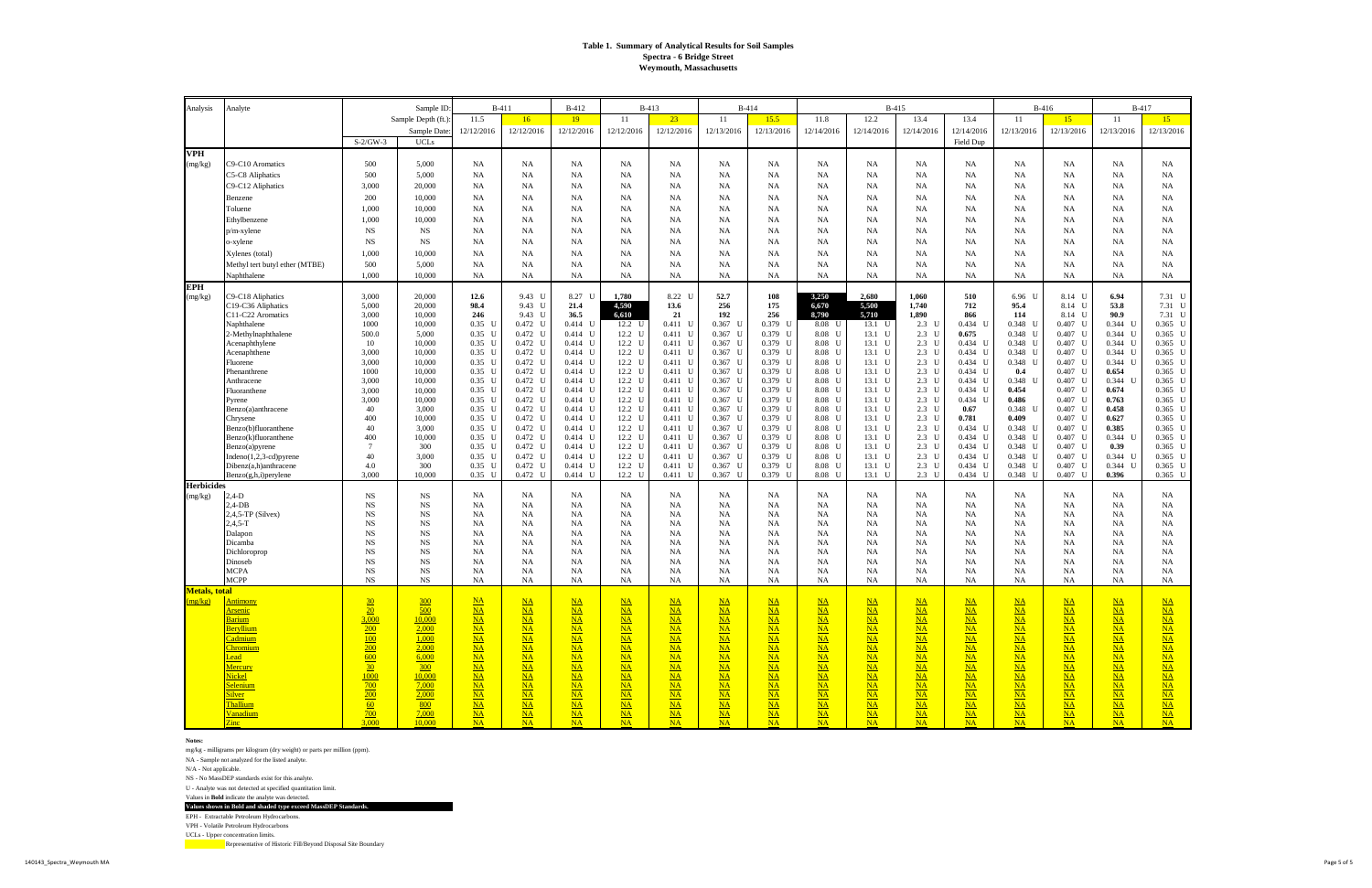#### **Notes:**

mg/kg - milligrams per kilogram (dry weight) or parts per million (ppm).

NA - Sample not analyzed for the listed analyte.

N/A - Not applicable.

NS - No MassDEP standards exist for this analyte.

U - Analyte was not detected at specified quantitation limit.

Values in **Bold** indicate the analyte was detected.

**Values shown in Bold and shaded type exceed MassDEP Standards.**

EPH - Extractable Petroleum Hydrocarbons.

VPH - Volatile Petroleum Hydrocarbons

UCLs - Upper concentration limits.

| B-415<br>Sample ID:<br>$B-411$<br><b>B-412</b><br><b>B-413</b><br>11.8<br>12.2<br>13.4<br>Sample Depth (ft.)<br>11.5<br>16<br>19<br>-11<br>23<br>11<br>15.5<br>13.4<br>11<br>15<br>12/12/2016<br>12/12/2016<br>12/12/2016<br>12/13/2016<br>12/14/2016<br>12/14/2016<br>12/13/2016<br>Sample Date:<br>12/12/2016<br>12/12/2016<br>12/13/2016<br>12/14/2016<br>12/14/2016<br>12/13/2016<br>$S-2/GW-3$<br><b>UCLs</b><br>Field Dup<br><b>VPH</b> | 11<br>15<br>12/13/2016<br>12/13/2016             |
|-----------------------------------------------------------------------------------------------------------------------------------------------------------------------------------------------------------------------------------------------------------------------------------------------------------------------------------------------------------------------------------------------------------------------------------------------|--------------------------------------------------|
|                                                                                                                                                                                                                                                                                                                                                                                                                                               |                                                  |
|                                                                                                                                                                                                                                                                                                                                                                                                                                               |                                                  |
|                                                                                                                                                                                                                                                                                                                                                                                                                                               |                                                  |
|                                                                                                                                                                                                                                                                                                                                                                                                                                               |                                                  |
| 29-C10 Aromatics<br>500<br>5,000<br><b>NA</b><br><b>NA</b><br>NA<br>NA<br>NA<br><b>NA</b><br>NA<br>NA<br>NA<br>NA<br>NA<br>NA<br>(mg/kg)<br>NA                                                                                                                                                                                                                                                                                                | <b>NA</b><br><b>NA</b>                           |
| <b>25-C8 Aliphatics</b><br>500<br>5,000<br><b>NA</b><br>NA<br>NA<br><b>NA</b><br>NA<br>NA<br><b>NA</b><br>NA<br>NA<br><b>NA</b><br>NA<br>NA<br>NA                                                                                                                                                                                                                                                                                             | NA<br>NA                                         |
| <b>NA</b><br>C9-C12 Aliphatics<br>3,000<br>20,000<br><b>NA</b><br><b>NA</b><br><b>NA</b><br>NA<br><b>NA</b><br><b>NA</b><br><b>NA</b><br><b>NA</b><br>NA<br><b>NA</b><br>NA<br><b>NA</b>                                                                                                                                                                                                                                                      | NA<br>NA                                         |
| 200<br><b>NA</b><br>NA<br>NA<br>NA<br><b>NA</b><br>10,000<br>NA<br><b>NA</b><br>NA<br>NA<br><b>NA</b><br>NA<br>NA<br>NA<br>Benzene                                                                                                                                                                                                                                                                                                            | NA<br><b>NA</b>                                  |
| NA<br>Toluene<br>1,000<br>10,000<br>NA<br><b>NA</b><br>NA<br><b>NA</b><br>NA<br>NA<br><b>NA</b><br>NA<br>NA<br>NA<br>NA<br><b>NA</b>                                                                                                                                                                                                                                                                                                          | NA<br>NA                                         |
| <b>NA</b><br>NA<br><b>NA</b><br><b>NA</b><br><b>NA</b><br>Ethylbenzene<br>1,000<br>10,000<br>NA<br><b>NA</b><br><b>NA</b><br>NA<br><b>NA</b><br><b>NA</b><br>NA<br>NA<br>NA<br>NA<br>NA<br><b>NA</b><br><b>NA</b><br><b>NS</b><br><b>NS</b><br>NA<br><b>NA</b><br>NA<br><b>NA</b><br><b>NA</b><br>NA<br><b>NA</b><br>NA                                                                                                                       | NA<br>NA<br>NA<br><b>NA</b>                      |
| p/m-xylene<br>$_{\rm NS}$<br><b>NA</b><br>NA<br>NA<br><b>NA</b><br><b>NS</b><br><b>NA</b><br>NA<br><b>NA</b><br>NA<br>NA<br><b>NA</b><br>NA<br>NA<br><b>NA</b>                                                                                                                                                                                                                                                                                | NA<br>NA                                         |
| o-xylene<br><b>NA</b><br><b>NA</b><br>Xylenes (total)<br>1,000<br>10,000<br>NA<br><b>NA</b><br><b>NA</b><br>NA<br><b>NA</b><br><b>NA</b><br><b>NA</b><br>NA<br><b>NA</b><br><b>NA</b><br><b>NA</b>                                                                                                                                                                                                                                            | NA<br>NA                                         |
| NA<br>NA<br>NA<br><b>NA</b><br><b>NA</b><br>NA<br><b>NA</b><br>Methyl tert butyl ether (MTBE)<br>500<br>5,000<br>NA<br><b>NA</b><br>NA<br><b>NA</b><br>NA<br>NA                                                                                                                                                                                                                                                                               | NA<br><b>NA</b>                                  |
| <b>NA</b><br><b>NA</b><br>Naphthalene<br>1,000<br>10,000<br><b>NA</b><br><b>NA</b><br>NA<br><b>NA</b><br>NA<br><b>NA</b><br><b>NA</b><br>NA<br>NA<br>NA<br><b>NA</b>                                                                                                                                                                                                                                                                          | NA<br><b>NA</b>                                  |
| <b>EPH</b>                                                                                                                                                                                                                                                                                                                                                                                                                                    |                                                  |
| 3,000<br>20,000<br>12.6<br>9.43 U<br>8.27 U<br>1,780<br>8.22 U<br>52.7<br>108<br>3,250<br>2,680<br>1,060<br>510<br>6.96 U<br>8.14 U<br>C9-C18 Aliphatics<br>(mg/kg)                                                                                                                                                                                                                                                                           | 7.31 U<br>6.94                                   |
| 98.4<br>256<br>175<br>5,500<br>712<br>C19-C36 Aliphatics<br>5,000<br>20,000<br>9.43 U<br>21.4<br>4,590<br>13.6<br>6,670<br>1,740<br>95.4<br>8.14 U                                                                                                                                                                                                                                                                                            | 53.8<br>7.31 U                                   |
| 246<br>9.43 U<br>21<br>192<br>256<br>5.710<br>1,890<br>866<br>C11-C22 Aromatics<br>3,000<br>10,000<br>36.5<br>6.610<br>8,790<br>114<br>8.14 U                                                                                                                                                                                                                                                                                                 | 90.9<br>7.31 U                                   |
| $0.472$ U<br>12.2 U<br>$0.411$ U<br>$0.367$ U<br>0.379 U<br>8.08 U<br>$2.3$ U<br>$0.434$ U<br>0.348 U<br>$0.407$ U<br>Naphthalene<br>1000<br>10,000<br>$0.35$ U<br>$0.414$ U<br>13.1 U                                                                                                                                                                                                                                                        | 0.344 U<br>$0.365$ U                             |
| 500.0<br>$0.35$ U<br>$0.472$ U<br>12.2 U<br>$0.367$ U<br>0.379 U<br>$2.3$ U<br>0.675<br>0.348 U<br>$0.407$ U<br>2-Methylnaphthalene<br>5,000<br>$0.414$ U<br>$0.411$ U<br>8.08 U<br>13.1 U<br>10,000<br>$0.35$ U<br>$0.472$ U<br>12.2 U<br>$0.411$ U<br>$0.367$ U<br>0.379 U<br>8.08 U<br>$2.3$ U<br>$0.434$ U<br>0.348 U<br>$0.407$ U<br>Acenaphthylene<br>10<br>$0.414$ U<br>13.1 U                                                         | $0.344$ U<br>$0.365$ U<br>$0.344$ U<br>$0.365$ U |
| 12.2 U<br>$0.367$ U<br>0.379 U<br>8.08 U<br>$2.3$ U<br>0.348 U<br>$0.407$ U<br>Acenaphthene<br>3,000<br>10,000<br>$0.35$ U<br>$0.472$ U<br>$0.414$ U<br>$0.411$ U<br>13.1 U<br>$0.434$ U                                                                                                                                                                                                                                                      | $0.344$ U<br>$0.365$ U                           |
| 3,000<br>$0.35$ U<br>$0.472$ U<br>12.2 U<br>$0.411$ U<br>$0.367$ U<br>0.379 U<br>8.08 U<br>13.1 U<br>$2.3$ U<br>$0.434$ U<br>0.348 U<br>$0.407$ U<br>Fluorene<br>10,000<br>$0.414$ U                                                                                                                                                                                                                                                          | $0.344$ U<br>$0.365$ U                           |
| $0.35$ U<br>$0.472$ U<br>12.2 U<br>$0.367$ U<br>0.379 U<br>8.08 U<br>$0.407$ U<br>Phenanthrene<br>1000<br>10,000<br>$0.414$ U<br>$0.411$ U<br>13.1 U<br>$2.3$ U<br>$0.434$ U<br>0.4                                                                                                                                                                                                                                                           | $0.365$ U<br>0.654                               |
| 3,000<br>$0.472$ U<br>12.2 U<br>$0.367$ U<br>0.379 U<br>8.08 U<br>$0.434$ U<br>0.348 U<br>$0.407$ U<br>Anthracene<br>10,000<br>$0.35$ U<br>$0.414$ U<br>$0.411$ U<br>13.1 U<br>$2.3$ U                                                                                                                                                                                                                                                        | $0.344$ U<br>$0.365$ U                           |
| 3,000<br>10,000<br>$0.35$ U<br>$0.472$ U<br>12.2 U<br>$0.411$ U<br>$0.367$ U<br>0.379 U<br>8.08 U<br>$2.3$ U<br>$0.434$ U<br>0.454<br>$0.407$ U<br>Fluoranthene<br>$0.414$ U<br>13.1 U<br>$0.35$ U<br>12.2 U<br>$0.367$ U<br>0.379 U<br>8.08 U<br>$2.3$ U<br>$0.407$ U<br>3,000<br>10,000<br>$0.472$ U<br>$0.414$ U<br>$0.411$ U<br>13.1 U<br>$0.434$ U<br>0.486<br>Pyrene                                                                    | 0.674<br>$0.365$ U<br>0.365 U<br>0.763           |
| $0.35$ U<br>$0.472$ U<br>12.2 U<br>$0.411$ U<br>$0.367$ U<br>0.379 U<br>8.08 U<br>$2.3$ U<br>$0.348$ U<br>$0.407$ U<br>40<br>3.000<br>$0.414$ U<br>13.1 U<br>0.67<br>Benzo(a)anthracene                                                                                                                                                                                                                                                       | 0.458<br>$0.365$ U                               |
| $0.472$ U<br>12.2 U<br>0.379 U<br>8.08 U<br>0.409<br>$0.407$ U<br>400<br>10,000<br>$0.35$ U<br>$0.414$ U<br>$0.411$ U<br>$0.367$ U<br>13.1 U<br>$2.3$ U<br>0.781<br>Chrysene                                                                                                                                                                                                                                                                  | 0.365 U<br>0.627                                 |
| $0.472$ U<br>12.2 U<br>$0.367$ U<br>0.379 U<br>8.08 U<br>$0.434$ U<br>0.348 U<br>$0.407$ U<br>40<br>3,000<br>$0.35$ U<br>$0.414$ U<br>$0.411$ U<br>13.1 U<br>$2.3$ U<br>Benzo(b)fluoranthene                                                                                                                                                                                                                                                  | 0.385<br>$0.365$ U                               |
| 400<br>10,000<br>$0.35$ U<br>$0.472$ U<br>12.2 U<br>$0.411$ U<br>$0.367$ U<br>0.379 U<br>8.08 U<br>$2.3$ U<br>$0.434$ U<br>0.348 U<br>$0.407$ U<br>Benzo(k)fluoranthene<br>$0.414$ U<br>13.1 U<br>$0.35$ U<br>12.2 U<br>$0.367$ U<br>0.379 U<br>$2.3$ U<br>0.348 U<br>$0.407$ U<br>300<br>$0.472$ U<br>$0.414$ U<br>$0.411$ U<br>8.08 U<br>13.1 U<br>$0.434$ U<br>$\tau$                                                                      | $0.344$ U<br>$0.365$ U<br>$0.365$ U<br>0.39      |
| Benzo(a)pyrene<br>40<br>$0.35$ U<br>$0.472$ U<br>12.2 U<br>$0.411$ U<br>$0.367$ U<br>0.379 U<br>8.08 U<br>$2.3$ U<br>$0.434$ U<br>0.348 U<br>$0.407$ U<br>3.000<br>$0.414$ U<br>13.1 U<br>$Indeno(1,2,3-cd)pyrene$                                                                                                                                                                                                                            | $0.344$ U<br>$0.365$ U                           |
| $0.35$ U<br>$0.472$ U<br>12.2 U<br>8.08 U<br>$2.3$ U<br>0.348 U<br>$0.407$ U<br>Dibenz(a,h)anthracene<br>4.0<br>300<br>$0.414$ U<br>$0.411$ U<br>$0.367$ U<br>$0.379$ U<br>13.1 U<br>$0.434$ U                                                                                                                                                                                                                                                | $0.344$ U<br>$0.365$ U                           |
| 3.000<br>$0.472$ U<br>12.2 U<br>$0.367$ U<br>0.379<br>$0.407$ U<br>Benzo(g,h,i)perylene<br>10.000<br>$0.35$ U<br>$0.414$ U<br>$0.411$ U<br>8.08 U<br>13.1 U<br>$2.3$ U<br>$0.434$ U<br>$0.348$ U                                                                                                                                                                                                                                              | 0.396<br>$0.365$ U                               |
| <b>Herbicides</b>                                                                                                                                                                                                                                                                                                                                                                                                                             |                                                  |
| $2,4-D$<br><b>NS</b><br><b>NS</b><br><b>NA</b><br><b>NA</b><br><b>NA</b><br>NA<br>NA<br><b>NA</b><br>NA<br><b>NA</b><br>NA<br>NA<br>NA<br>NA<br>NA<br>(mg/kg)<br>$2,4$ -DB<br><b>NS</b><br>$_{\rm NS}$<br><b>NA</b><br>NA<br>NA<br>NA<br><b>NA</b><br>NA<br>NA<br><b>NA</b><br><b>NA</b><br>NA<br>NA<br>NA                                                                                                                                    | NA<br><b>NA</b><br><b>NA</b><br><b>NA</b>        |
| NA<br><b>NS</b><br>NA<br>$2,4,5$ -TP (Silvex)<br><b>NS</b><br>NA<br><b>NA</b><br>NA<br>NA<br>NA<br>NA<br><b>NA</b><br>NA<br>NA<br><b>NA</b><br>NA<br><b>NA</b>                                                                                                                                                                                                                                                                                | NA<br>NA                                         |
| $2,4,5-T$<br><b>NS</b><br>$_{\rm NS}$<br>NA<br>NA<br><b>NA</b><br><b>NA</b><br>NA<br><b>NA</b><br><b>NA</b><br>NA<br><b>NA</b><br>NA<br><b>NA</b><br>NA<br>NA                                                                                                                                                                                                                                                                                 | <b>NA</b><br>NA                                  |
| <b>NS</b><br>$_{\rm NS}$<br>NA<br><b>NA</b><br>Dalapon<br>NA<br><b>NA</b><br>NA<br><b>NA</b><br>NA<br><b>NA</b><br><b>NA</b><br><b>NA</b><br>NA<br><b>NA</b><br>NA                                                                                                                                                                                                                                                                            | <b>NA</b><br><b>NA</b>                           |
| Dicamba<br><b>NS</b><br><b>NS</b><br><b>NA</b><br><b>NA</b><br>NA<br><b>NA</b><br><b>NA</b><br><b>NA</b><br><b>NA</b><br><b>NA</b><br>NA<br><b>NA</b><br><b>NA</b><br>NA<br>NA                                                                                                                                                                                                                                                                | <b>NA</b><br><b>NA</b>                           |
| Dichloroprop<br><b>NS</b><br>$_{NS}$<br>NA<br>NA<br>NA<br>NA<br>NA<br>NA<br>NA<br><b>NA</b><br>NA<br><b>NA</b><br><b>NA</b><br>NA<br>NA<br>Dinoseb<br><b>NS</b><br><b>NS</b><br>NA<br><b>NA</b><br>NA<br>NA<br>NA<br>NA<br><b>NA</b><br><b>NA</b><br>NA<br><b>NA</b><br>NA<br>NA<br><b>NA</b>                                                                                                                                                 | NA<br>NA<br>NA<br><b>NA</b>                      |
| <b>MCPA</b><br><b>NS</b><br><b>NS</b><br>NA<br>NA<br><b>NA</b><br><b>NA</b><br>NA<br>NA<br><b>NA</b><br>NA<br><b>NA</b><br><b>NA</b><br><b>NA</b><br>NA<br>NA                                                                                                                                                                                                                                                                                 | <b>NA</b><br>NA                                  |
| <b>MCPP</b><br><b>NS</b><br><b>NS</b><br>NA<br>NA<br><b>NA</b><br>NA<br><b>NA</b><br><b>NA</b><br><b>NA</b><br>NA<br>NA<br>NA<br>NA<br><b>NA</b><br>NA                                                                                                                                                                                                                                                                                        | NA<br>NA                                         |
| <b>Metals</b> , total                                                                                                                                                                                                                                                                                                                                                                                                                         |                                                  |
| $NA$<br>$NA$<br>$\underline{NA}$<br>$\underline{\mathbf{NA}}$<br>$\frac{30}{2}$<br>$\underline{\mathbf{NA}}$<br>$NA$<br>NA<br>$NA$<br>$NA$<br>$NA$<br>$NA$<br>$\frac{300}{2}$<br>$NA$<br>(mg/kg)<br><u>Antimony</u><br>$\underline{\mathbf{NA}}$                                                                                                                                                                                              | $\underline{NA}$                                 |
| 20<br>500<br>$NA$<br>$NA$<br>$NA$<br>$NA$<br>$NA$<br>$NA$<br>$NA$<br>$NA$<br>$NA$<br>$NA$<br>$NA$<br>$NA$<br>$NA$<br><u>Arsenic</u><br>3,000<br>$NA$<br>$NA$<br>$\underline{\mathbf{NA}}$<br>Barium<br>10,000<br>$NA$<br>$NA$<br>$NA$<br>MA                                                                                                                                                                                                   | $NA$<br>$NA$<br>$NA$                             |
| $NA$<br>$NA$<br>$NA$<br>$NA$<br>$NA$<br>$NA$<br>$NA$<br>$NA$<br>$\underline{NA}$<br>$NA$<br>$\underline{NA}$<br>Beryllium<br>200<br>2,000<br>NA<br>$NA$<br>NA<br>$NA$<br>NA<br>$NA$<br>$NA$<br>NA                                                                                                                                                                                                                                             | $NA$<br>$NA$<br>$NA$                             |
| $NA$<br>$NA$<br>$\underline{\mathbf{NA}}$<br>Cadmium<br>100<br>1,000<br>NA<br>$NA$<br>$NA$<br>$NA$<br>$NA$<br>NA<br>$NA$<br>NA<br>$NA$<br>$NA$                                                                                                                                                                                                                                                                                                | $NA$<br>NA                                       |
| 200<br>$\underline{NA}$<br>$NA$<br>$\underline{\mathbf{NA}}$<br>2,000<br>$NA$<br>$NA$<br>$NA$<br>NA<br>$NA$<br>$NA$<br>$NA$<br>$NA$<br>$NA$<br>$NA$<br><u>Chromium</u>                                                                                                                                                                                                                                                                        | $NA$<br>$NA$                                     |
| $NA$<br>$NA$<br>$NA$<br>Lead<br>600<br>6,000<br>$NA$<br>$NA$<br>$NA$<br>$NA$<br>$NA$<br>$NA$<br>NA<br>$NA$<br>$NA$<br>$NA$                                                                                                                                                                                                                                                                                                                    | $NA$<br>$NA$                                     |
| $\frac{30}{2}$<br>300<br>$NA$<br>$NA$<br>$NA$<br>$NA$<br>$NA$<br>$NA$<br>$NA$<br>$NA$<br>Mercury<br>$NA$<br>$NA$<br>$NA$<br>$NA$<br>$NA$<br>$NA$<br>$NA$<br>$NA$<br>$NA$<br>$\underline{NA}$<br>Nickel<br>1000<br>10,000<br>NA<br>$NA$<br>NA<br>$NA$<br>$NA$<br>$NA$<br>$NA$                                                                                                                                                                  | $NA$<br>$NA$<br>$NA$<br>$NA$                     |
| $NA$<br>700<br>$NA$<br>$NA$<br>$\underline{\mathbf{NA}}$<br><b>Selenium</b><br>7,000<br>NA<br>$NA$<br>$NA$<br>NA<br>NA<br>$NA$<br>NA<br>$NA$<br>$NA$<br>$NA$                                                                                                                                                                                                                                                                                  | $NA$<br>$NA$                                     |
| 200<br>$NA$<br>$\underline{NA}$<br>$NA$<br>$\underline{NA}$<br>Silver<br>2,000<br>$NA$<br>$NA$<br>NA<br>$NA$<br>$NA$<br>$NA$<br>$NA$<br>$NA$<br>$NA$                                                                                                                                                                                                                                                                                          | $NA$<br>$NA$                                     |
| $NA$<br>$NA$<br><b>Thallium</b><br>60<br>800<br>$NA$<br>$NA$<br>$NA$<br>$NA$<br>$NA$<br>$NA$<br>$NA$<br>$NA$<br>$NA$<br>$NA$<br>$NA$                                                                                                                                                                                                                                                                                                          | $NA$<br>$NA$                                     |
| $\frac{700}{ }$<br>7,000<br>$NA$<br>$NA$<br>$NA$<br>$NA$<br>$NA$<br>$\frac{\text{NA}}{\text{NA}}$<br>$NA$<br>$\underline{\mathbf{NA}}$<br><u>Vanadium</u><br>$NA$<br>$NA$<br>$NA$<br>$NA$<br>$NA$<br>NA<br>$\overline{\text{Zinc}}$<br>3.000<br>10,000<br><b>NA</b><br>NA<br>NA<br><b>NA</b><br>NA<br>NA<br>NA<br><b>NA</b><br><b>NA</b><br><b>NA</b><br><b>NA</b>                                                                            | $NA$<br>$\underline{NA}$<br>NA<br>NA             |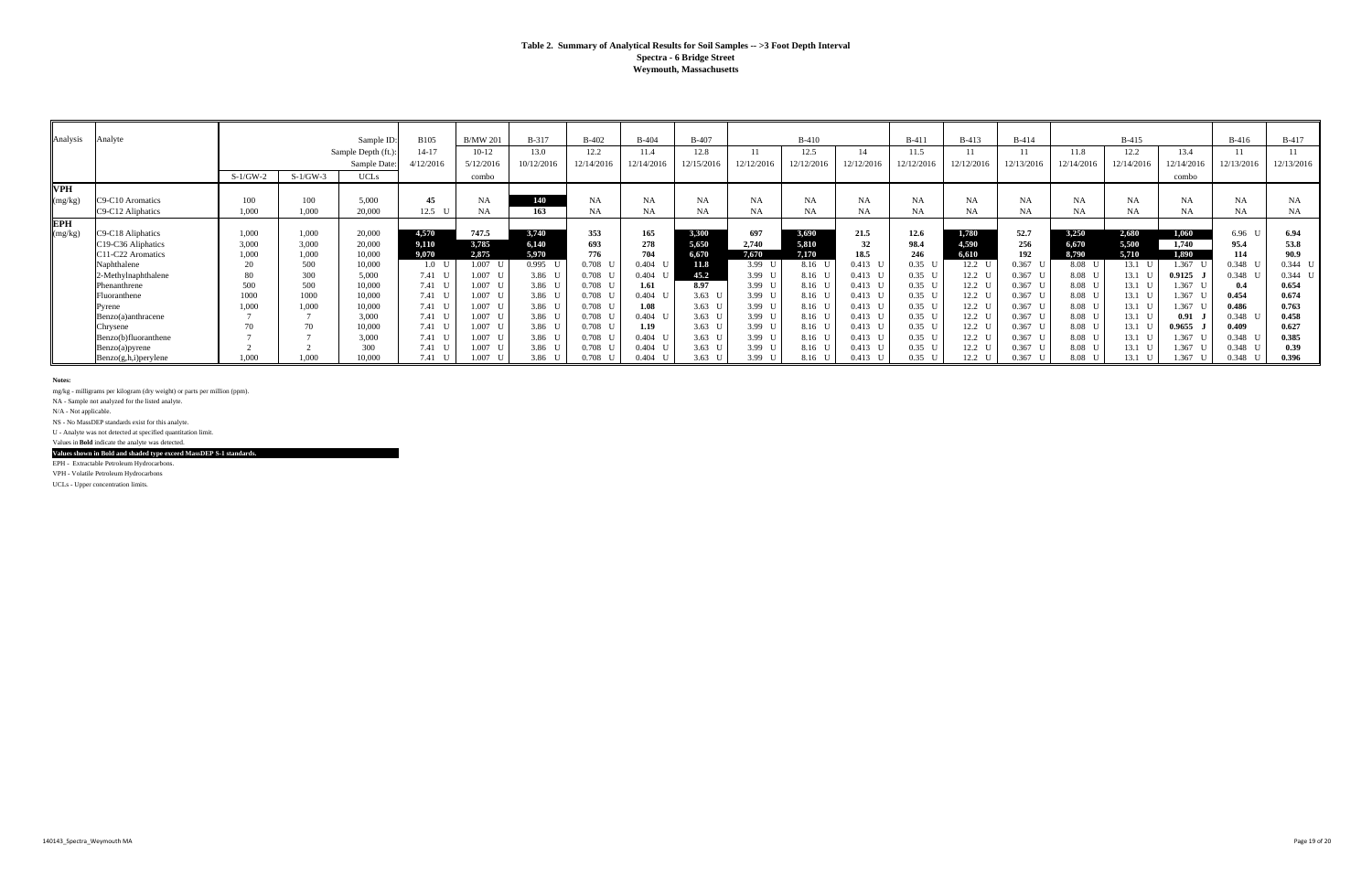#### **Table 2. Summary of Analytical Results for Soil Samples -- >3 Foot Depth Interval Spectra - 6 Bridge Street Weymouth, Massachusetts**

| Analysis   | Analyte              |            |            | Sample ID          | <b>B105</b>    | <b>B/MW 201</b> | <b>B-317</b> | <b>B-402</b> | $B-404$    | $B-407$        |                | $B-410$    |            | $B-411$           | $B-413$        | $B-414$   |                   | $B-415$          |            | $B-416$    | <b>B-417</b> |
|------------|----------------------|------------|------------|--------------------|----------------|-----------------|--------------|--------------|------------|----------------|----------------|------------|------------|-------------------|----------------|-----------|-------------------|------------------|------------|------------|--------------|
|            |                      |            |            | Sample Depth (ft.) | $14 - 17$      | $10-12$         | 13.0         | 12.2         | 11.4       | 12.8           |                | 12.5       | 14         | 11.5              | 11             | 11        | 11.8              | 12.2             | 13.4       | 11         |              |
|            |                      |            |            | Sample Date:       | 4/12/2016      | 5/12/2016       | 10/12/2016   | 12/14/2016   | 12/14/2016 | 2/15/2016      | 12/12/2016     | 12/12/2016 | 12/12/2016 | 12/12/2016        | 12/12/2016     | 2/13/2016 | 12/14/2016        | 12/14/2016       | 12/14/2016 | 12/13/2016 | 12/13/2016   |
|            |                      | $S-1/GW-2$ | $S-1/GW-3$ | <b>UCLs</b>        |                | combo           |              |              |            |                |                |            |            |                   |                |           |                   |                  | combo      |            |              |
| <b>VPH</b> |                      |            |            |                    |                |                 |              |              |            |                |                |            |            |                   |                |           |                   |                  |            |            |              |
| (mg/kg)    | C9-C10 Aromatics     | 100        | 100        | 5,000              | 45             | <b>NA</b>       | 140          | NA           | <b>NA</b>  | <b>NA</b>      | NA             | <b>NA</b>  | <b>NA</b>  | NA                | <b>NA</b>      | NA        | <b>NA</b>         | NA               | NA         | NA         | NA           |
|            | C9-C12 Aliphatics    | 1,000      | 1,000      | 20,000             | 12.5           | <b>NA</b>       | 163          | NA           | NA         | <b>NA</b>      | NA             |            | NA         | NA                | NA             | <b>NA</b> | NA                |                  | NA         | NA         | NA.          |
| <b>EPH</b> |                      |            |            |                    |                |                 |              |              |            |                |                |            |            |                   |                |           |                   |                  |            |            |              |
| (mg/kg)    | C9-C18 Aliphatics    | 1.000      | 1,000      | 20,000             | 4,570          | 747.5           | 3.740        | 353          | 165        | 3,300          | 697            | 3,690      | 21.5       | 12.6              | 1,780          | 52.7      | 3,250             | 2,680            | 1,060      | $6.96-1$   | 6.94         |
|            | C19-C36 Aliphatics   | 3.000      | 3,000      | 20,000             | 9.110          | 3,785           | 6,140        | 693          | 278        | 5,650          | 2,740          | 5,810      | 32         | 98.4              | 4,590          | 256       | 6,670             | 5,500            | 1,740      | 95.4       | 53.8         |
|            | C11-C22 Aromatics    | 1.000      | 1.000      | 10.000             | 9,070          | 2,875           | 5,970        | 776          | 704        | 6,670          | 7,670          | 7.170      | 18.5       | 246               | 6,610          | 192       | 8,790             | 5,710            | 1,890      | 114        | 90.9         |
|            | Naphthalene          |            | 500        | 10,000             | 1.0            | 1.007           | $0.995$ U    | 0.708        | $0.404$ U  | 11.8           | 3.99           | 8.16 U     | $0.413$ I  | 0.35 <sub>l</sub> | $12.2 \quad 1$ | 0.367     | 8.08              | $13.1$ U         | 1.367      | 0.348      | $0.344$ U    |
|            | 2-Methylnaphthalene  |            | 300        | 5,000              | $7.41 \quad U$ | 1.007           | 3.86 U       | 0.708        | 0.404      | 45.2           | 3.99 $\bar{C}$ | 8.16 U     | $0.413$ U  | 0.35 <sub>l</sub> | $12.2 \quad U$ | 0.367     | 8.08 U            | $13.1$ U         | 0.9125     | $0.348$ I  | $0.344$ U    |
|            | Phenanthrene         | 500        | 500        | 10,000             | 7.41 U         | $1.007$ L       | 3.86 U       | 0.708        | 1.61       | 8.97           | 3.99 $I$       | 8.16 U     | $0.413$ U  | $0.35\quad$       | $12.2 \quad L$ | $0.367$ I | 8.08 <sub>l</sub> | $13.1 \text{ U}$ | 1.367      | 0.4        | 0.654        |
|            | Fluoranthene         | 1000       | 1000       | 10,000             | 7.41 U         | $1.007$ L       | 3.86 U       | 0.708        | $0.404$ U  | 3.63 $\bar{C}$ | 3.99 $I$       | 8.16 U     | $0.413$ U  | 0.35 <sub>l</sub> | $12.2 \quad L$ | $0.367$ L | 8.08 <sub>l</sub> | 13.1 U           | 1.367      | 0.454      | 0.674        |
|            | Pyrene               | 1,000      | 1,000      | 10,000             | 7.41 U         | 1.007 U         | 3.86 U       | 0.708        | 1.08       | $3.63 \quad U$ | 3.99 U         | 8.16 L     | $0.413$ U  | 0.35 <sub>l</sub> | $12.2 \quad U$ | $0.367$ L | 8.08 <sub>l</sub> | 13.1 U           | 1.367      | 0.486      | 0.763        |
|            | Benzo(a)anthracene   |            |            | 3,000              | $7.41 \quad U$ | $1.007$ L       | 3.86 U       | 0.708        | $0.404$ U  | $3.63$ U       | 3.99 U         | 8.16 U     | $0.413$ U  | $0.35\quad$       | $12.2 \quad U$ | $0.367$ L | 8.08 U            | 13.1 U           | 0.91       | 0.348      | 0.458        |
|            | Chrysene             |            |            | 10,000             | $7.41 \quad U$ | 1.007 U         | 3.86 U       | 0.708        | 1.19       | $3.63 \quad U$ | 3.99 U         | 8.16 U     | $0.413$ U  | 0.35 <sub>l</sub> | $12.2 \quad 1$ | $0.367$ L | 8.08 <sub>l</sub> | $13.1$ U         | 0.9655     | 0.409      | 0.627        |
|            | Benzo(b)fluoranthene |            |            | 3,000              | $7.41 \quad U$ | $1.007$ L       | 3.86 U       | 0.708        | $0.404$ U  | 3.63 $\bar{C}$ | 3.99 $I$       | 8.16 U     | $0.413$ I  | 0.35 <sub>l</sub> | $12.2 \quad 1$ | $0.367$ I | 8.08 U            | 13.1 U           | 1.367      | 0.348      | 0.385        |
|            | Benzo(a)pyrene       |            |            | 300                | $7.41 \quad U$ | $1.007$ I       | 3.86 U       | 0.708        | $0.404$ U  | $3.63 \quad U$ | 3.99 $\bar{C}$ | 8.16 U     | $0.413$ I  | 0.35 <sub>l</sub> | $12.2 \quad U$ | 0.367     | 8.08 U            | $13.1 \quad U$   | 1.367      | $0.348$ U  | 0.39         |
|            | Benzo(g,h,i)perylene | 1.000      | 1.000      | 10.000             | 7.41           | 1.007           | 3.86         | 0.708        | 0.404      | 3.63           | 3.99           | 8.16 U     | 0.413      | 0.35 <sub>l</sub> | $12.2 \quad L$ | 0.367     | 8.08              | 13.1             | 1.367      | 0.348      | 0.396        |

**Notes:**

mg/kg - milligrams per kilogram (dry weight) or parts per million (ppm).

NA - Sample not analyzed for the listed analyte.

N/A - Not applicable.

NS - No MassDEP standards exist for this analyte. U - Analyte was not detected at specified quantitation limit.

Values in **Bold** indicate the analyte was detected.

**Values shown in Bold and shaded type exceed MassDEP S-1 standards.**

EPH - Extractable Petroleum Hydrocarbons.

VPH - Volatile Petroleum Hydrocarbons

UCLs - Upper concentration limits.